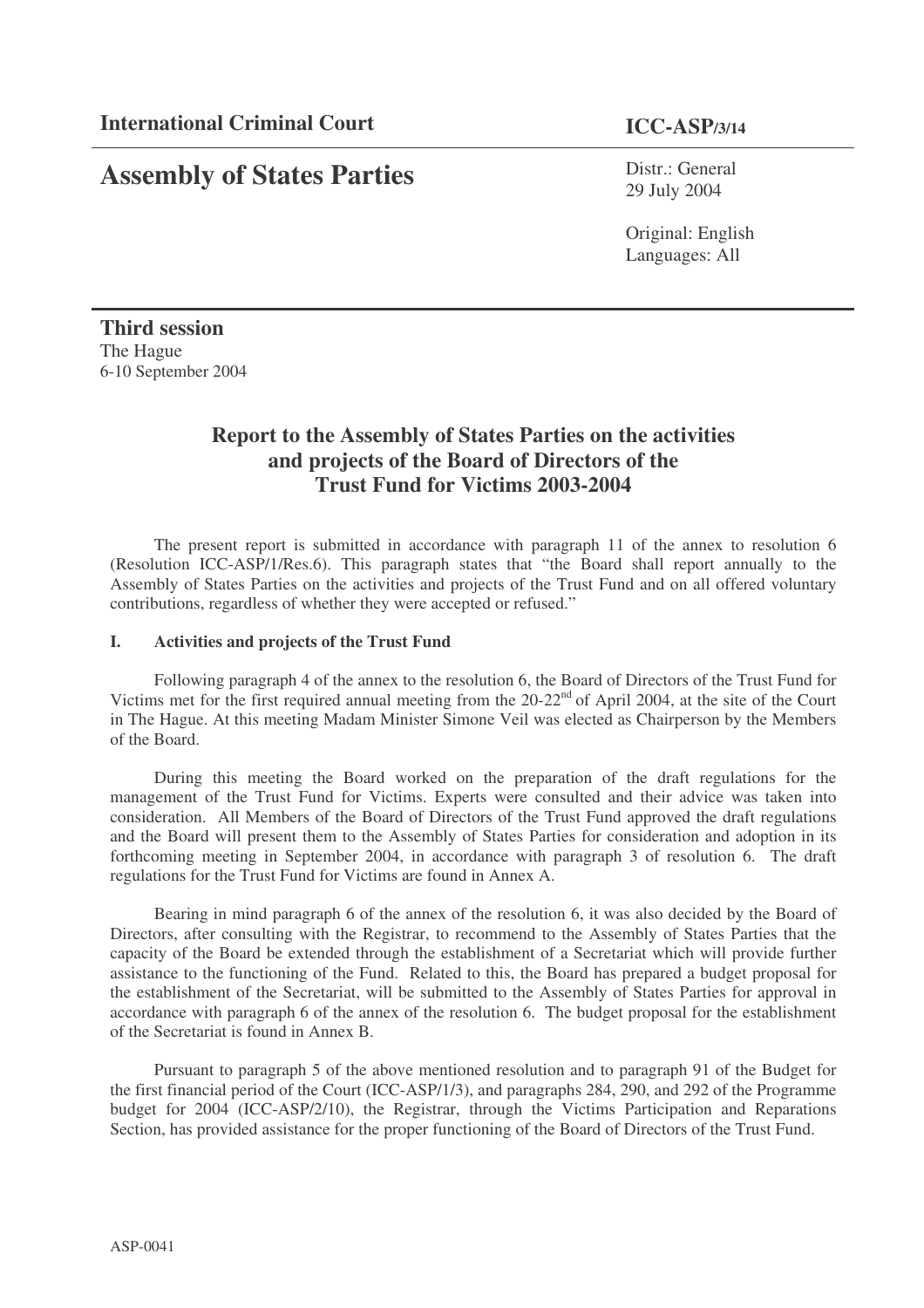# **Assembly of States Parties**

Distr.: General 29 July 2004

Original: English Languages: All

# **Third session** The Hague 6-10 September 2004

# **Report to the Assembly of States Parties on the activities and projects of the Board of Directors of the Trust Fund for Victims 2003-2004**

The present report is submitted in accordance with paragraph 11 of the annex to resolution 6 (Resolution ICC-ASP/1/Res.6). This paragraph states that "the Board shall report annually to the Assembly of States Parties on the activities and projects of the Trust Fund and on all offered voluntary contributions, regardless of whether they were accepted or refused."

# **I. Activities and projects of the Trust Fund**

Following paragraph 4 of the annex to the resolution 6, the Board of Directors of the Trust Fund for Victims met for the first required annual meeting from the 20-22<sup>nd</sup> of April 2004, at the site of the Court in The Hague. At this meeting Madam Minister Simone Veil was elected as Chairperson by the Members of the Board.

During this meeting the Board worked on the preparation of the draft regulations for the management of the Trust Fund for Victims. Experts were consulted and their advice was taken into consideration. All Members of the Board of Directors of the Trust Fund approved the draft regulations and the Board will present them to the Assembly of States Parties for consideration and adoption in its forthcoming meeting in September 2004, in accordance with paragraph 3 of resolution 6. The draft regulations for the Trust Fund for Victims are found in Annex A.

Bearing in mind paragraph 6 of the annex of the resolution 6, it was also decided by the Board of Directors, after consulting with the Registrar, to recommend to the Assembly of States Parties that the capacity of the Board be extended through the establishment of a Secretariat which will provide further assistance to the functioning of the Fund. Related to this, the Board has prepared a budget proposal for the establishment of the Secretariat, will be submitted to the Assembly of States Parties for approval in accordance with paragraph 6 of the annex of the resolution 6. The budget proposal for the establishment of the Secretariat is found in Annex B.

Pursuant to paragraph 5 of the above mentioned resolution and to paragraph 91 of the Budget for the first financial period of the Court (ICC-ASP/1/3), and paragraphs 284, 290, and 292 of the Programme budget for 2004 (ICC-ASP/2/10), the Registrar, through the Victims Participation and Reparations Section, has provided assistance for the proper functioning of the Board of Directors of the Trust Fund.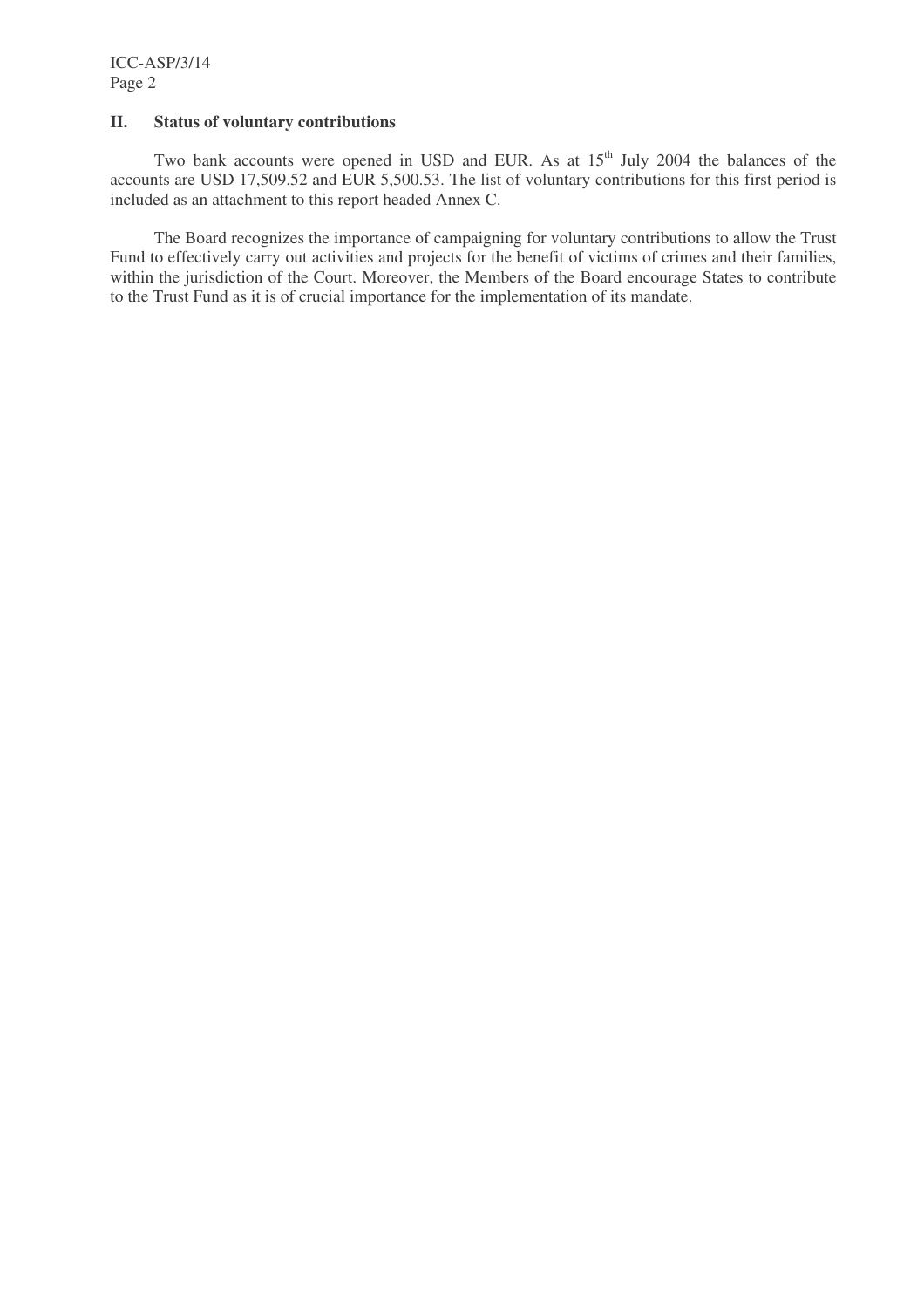#### **II. Status of voluntary contributions**

Two bank accounts were opened in USD and EUR. As at  $15<sup>th</sup>$  July 2004 the balances of the accounts are USD 17,509.52 and EUR 5,500.53. The list of voluntary contributions for this first period is included as an attachment to this report headed Annex C.

The Board recognizes the importance of campaigning for voluntary contributions to allow the Trust Fund to effectively carry out activities and projects for the benefit of victims of crimes and their families, within the jurisdiction of the Court. Moreover, the Members of the Board encourage States to contribute to the Trust Fund as it is of crucial importance for the implementation of its mandate.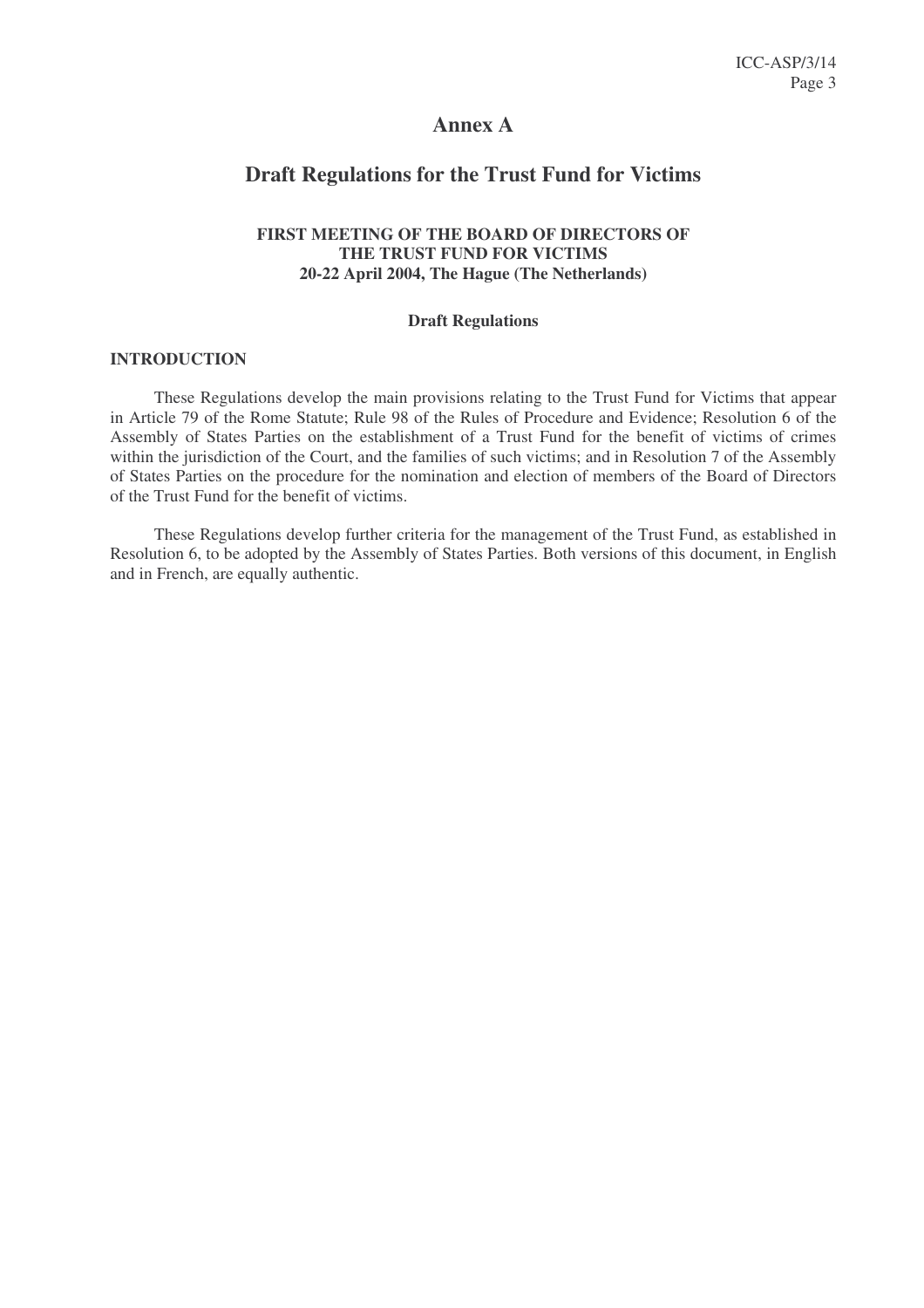# **Annex A**

# **Draft Regulations for the Trust Fund for Victims**

# **FIRST MEETING OF THE BOARD OF DIRECTORS OF THE TRUST FUND FOR VICTIMS 20-22 April 2004, The Hague (The Netherlands)**

#### **Draft Regulations**

#### **INTRODUCTION**

These Regulations develop the main provisions relating to the Trust Fund for Victims that appear in Article 79 of the Rome Statute; Rule 98 of the Rules of Procedure and Evidence; Resolution 6 of the Assembly of States Parties on the establishment of a Trust Fund for the benefit of victims of crimes within the jurisdiction of the Court, and the families of such victims; and in Resolution 7 of the Assembly of States Parties on the procedure for the nomination and election of members of the Board of Directors of the Trust Fund for the benefit of victims.

These Regulations develop further criteria for the management of the Trust Fund, as established in Resolution 6, to be adopted by the Assembly of States Parties. Both versions of this document, in English and in French, are equally authentic.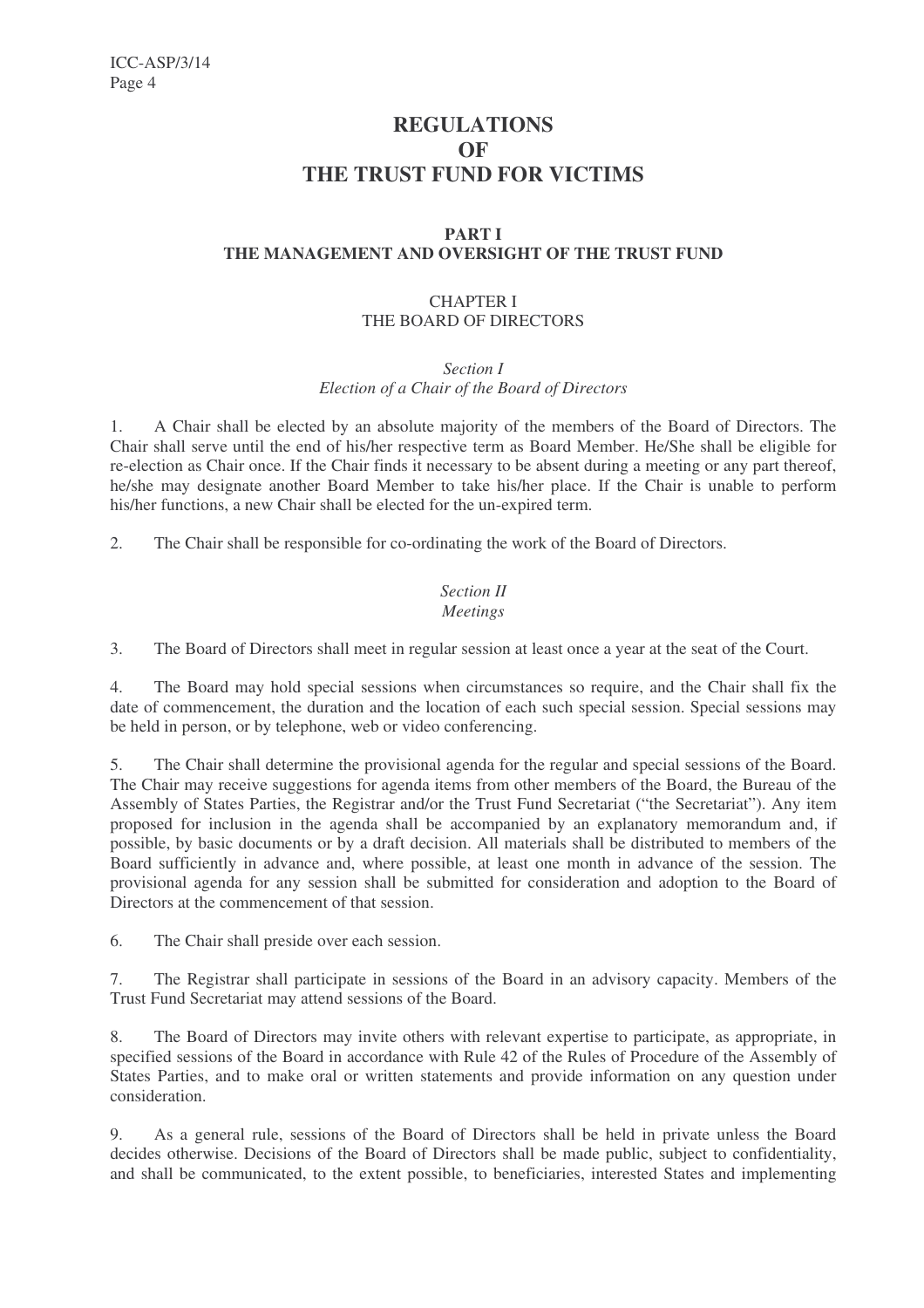# **REGULATIONS OF THE TRUST FUND FOR VICTIMS**

# **PART I THE MANAGEMENT AND OVERSIGHT OF THE TRUST FUND**

# CHAPTER I THE BOARD OF DIRECTORS

*Section I*

*Election of a Chair of the Board of Directors*

1. A Chair shall be elected by an absolute majority of the members of the Board of Directors. The Chair shall serve until the end of his/her respective term as Board Member. He/She shall be eligible for re-election as Chair once. If the Chair finds it necessary to be absent during a meeting or any part thereof, he/she may designate another Board Member to take his/her place. If the Chair is unable to perform his/her functions, a new Chair shall be elected for the un-expired term.

2. The Chair shall be responsible for co-ordinating the work of the Board of Directors.

# *Section II Meetings*

3. The Board of Directors shall meet in regular session at least once a year at the seat of the Court.

4. The Board may hold special sessions when circumstances so require, and the Chair shall fix the date of commencement, the duration and the location of each such special session. Special sessions may be held in person, or by telephone, web or video conferencing.

5. The Chair shall determine the provisional agenda for the regular and special sessions of the Board. The Chair may receive suggestions for agenda items from other members of the Board, the Bureau of the Assembly of States Parties, the Registrar and/or the Trust Fund Secretariat ("the Secretariat"). Any item proposed for inclusion in the agenda shall be accompanied by an explanatory memorandum and, if possible, by basic documents or by a draft decision. All materials shall be distributed to members of the Board sufficiently in advance and, where possible, at least one month in advance of the session. The provisional agenda for any session shall be submitted for consideration and adoption to the Board of Directors at the commencement of that session.

6. The Chair shall preside over each session.

7. The Registrar shall participate in sessions of the Board in an advisory capacity. Members of the Trust Fund Secretariat may attend sessions of the Board.

8. The Board of Directors may invite others with relevant expertise to participate, as appropriate, in specified sessions of the Board in accordance with Rule 42 of the Rules of Procedure of the Assembly of States Parties, and to make oral or written statements and provide information on any question under consideration.

9. As a general rule, sessions of the Board of Directors shall be held in private unless the Board decides otherwise. Decisions of the Board of Directors shall be made public, subject to confidentiality, and shall be communicated, to the extent possible, to beneficiaries, interested States and implementing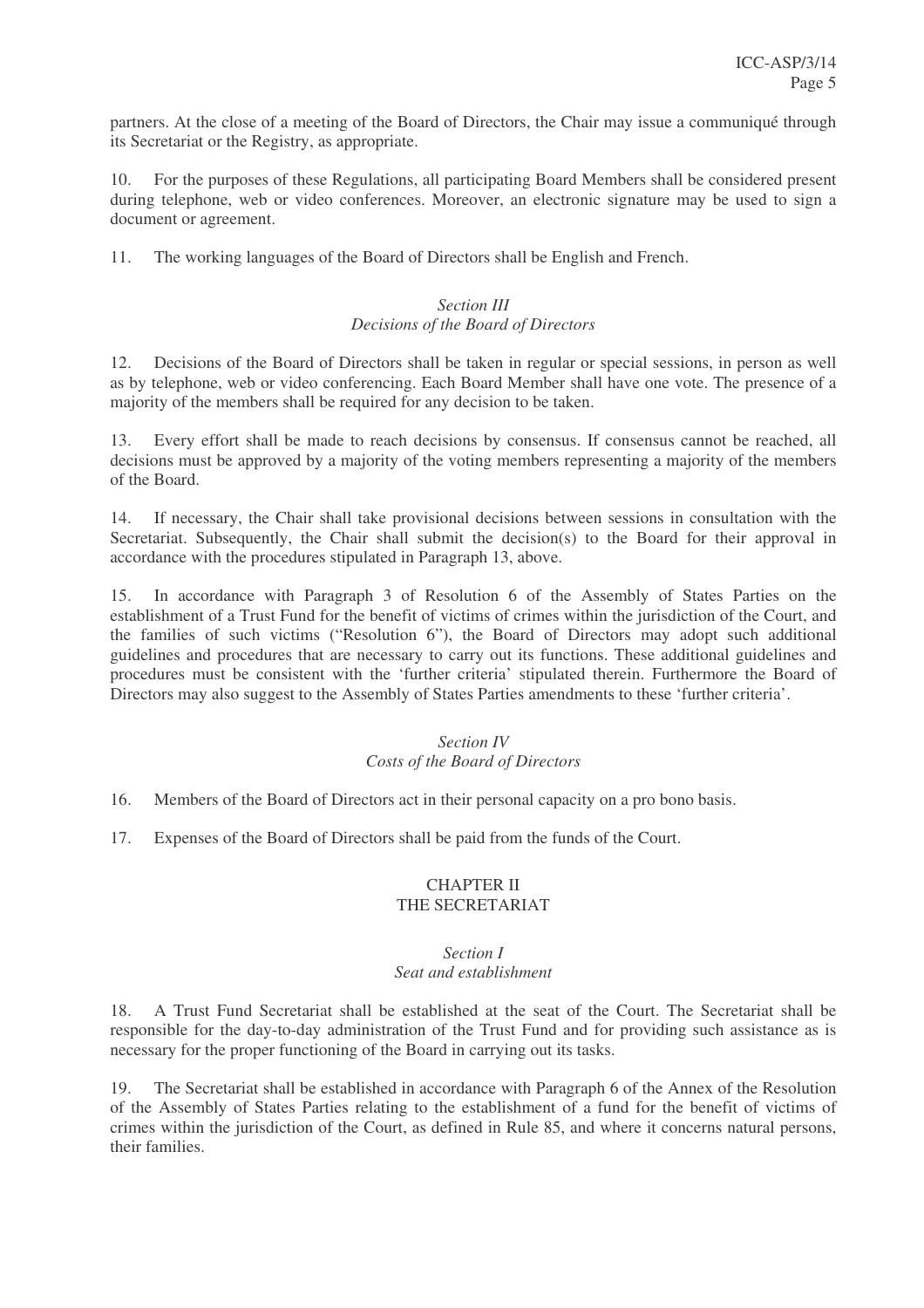partners. At the close of a meeting of the Board of Directors, the Chair may issue a communiqué through its Secretariat or the Registry, as appropriate.

10. For the purposes of these Regulations, all participating Board Members shall be considered present during telephone, web or video conferences. Moreover, an electronic signature may be used to sign a document or agreement.

11. The working languages of the Board of Directors shall be English and French.

# *Section III Decisions of the Board of Directors*

12. Decisions of the Board of Directors shall be taken in regular or special sessions, in person as well as by telephone, web or video conferencing. Each Board Member shall have one vote. The presence of a majority of the members shall be required for any decision to be taken.

13. Every effort shall be made to reach decisions by consensus. If consensus cannot be reached, all decisions must be approved by a majority of the voting members representing a majority of the members of the Board.

14. If necessary, the Chair shall take provisional decisions between sessions in consultation with the Secretariat. Subsequently, the Chair shall submit the decision(s) to the Board for their approval in accordance with the procedures stipulated in Paragraph 13, above.

15. In accordance with Paragraph 3 of Resolution 6 of the Assembly of States Parties on the establishment of a Trust Fund for the benefit of victims of crimes within the jurisdiction of the Court, and the families of such victims ("Resolution 6"), the Board of Directors may adopt such additional guidelines and procedures that are necessary to carry out its functions. These additional guidelines and procedures must be consistent with the 'further criteria' stipulated therein. Furthermore the Board of Directors may also suggest to the Assembly of States Parties amendments to these 'further criteria'.

# *Section IV*

# *Costs of the Board of Directors*

16. Members of the Board of Directors act in their personal capacity on a pro bono basis.

17. Expenses of the Board of Directors shall be paid from the funds of the Court.

# CHAPTER II THE SECRETARIAT

#### *Section I Seat and establishment*

18. A Trust Fund Secretariat shall be established at the seat of the Court. The Secretariat shall be responsible for the day-to-day administration of the Trust Fund and for providing such assistance as is necessary for the proper functioning of the Board in carrying out its tasks.

19. The Secretariat shall be established in accordance with Paragraph 6 of the Annex of the Resolution of the Assembly of States Parties relating to the establishment of a fund for the benefit of victims of crimes within the jurisdiction of the Court, as defined in Rule 85, and where it concerns natural persons, their families.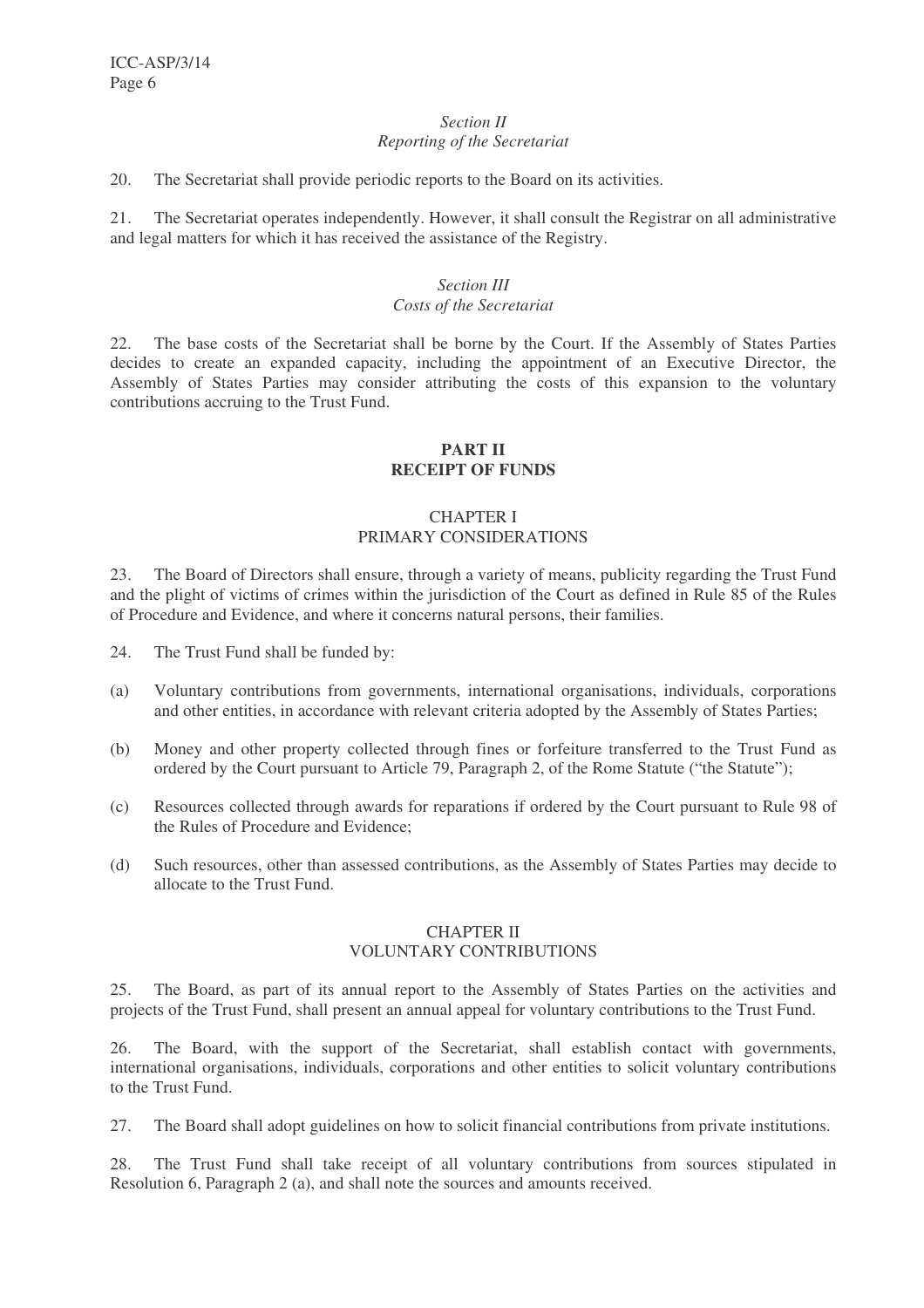#### *Section II Reporting of the Secretariat*

20. The Secretariat shall provide periodic reports to the Board on its activities.

21. The Secretariat operates independently. However, it shall consult the Registrar on all administrative and legal matters for which it has received the assistance of the Registry.

# *Section III*

# *Costs of the Secretariat*

22. The base costs of the Secretariat shall be borne by the Court. If the Assembly of States Parties decides to create an expanded capacity, including the appointment of an Executive Director, the Assembly of States Parties may consider attributing the costs of this expansion to the voluntary contributions accruing to the Trust Fund.

# **PART II RECEIPT OF FUNDS**

# CHAPTER I PRIMARY CONSIDERATIONS

23. The Board of Directors shall ensure, through a variety of means, publicity regarding the Trust Fund and the plight of victims of crimes within the jurisdiction of the Court as defined in Rule 85 of the Rules of Procedure and Evidence, and where it concerns natural persons, their families.

- 24. The Trust Fund shall be funded by:
- (a) Voluntary contributions from governments, international organisations, individuals, corporations and other entities, in accordance with relevant criteria adopted by the Assembly of States Parties;
- (b) Money and other property collected through fines or forfeiture transferred to the Trust Fund as ordered by the Court pursuant to Article 79, Paragraph 2, of the Rome Statute ("the Statute");
- (c) Resources collected through awards for reparations if ordered by the Court pursuant to Rule 98 of the Rules of Procedure and Evidence;
- (d) Such resources, other than assessed contributions, as the Assembly of States Parties may decide to allocate to the Trust Fund.

# CHAPTER II VOLUNTARY CONTRIBUTIONS

25. The Board, as part of its annual report to the Assembly of States Parties on the activities and projects of the Trust Fund, shall present an annual appeal for voluntary contributions to the Trust Fund.

26. The Board, with the support of the Secretariat, shall establish contact with governments, international organisations, individuals, corporations and other entities to solicit voluntary contributions to the Trust Fund.

27. The Board shall adopt guidelines on how to solicit financial contributions from private institutions.

28. The Trust Fund shall take receipt of all voluntary contributions from sources stipulated in Resolution 6, Paragraph 2 (a), and shall note the sources and amounts received.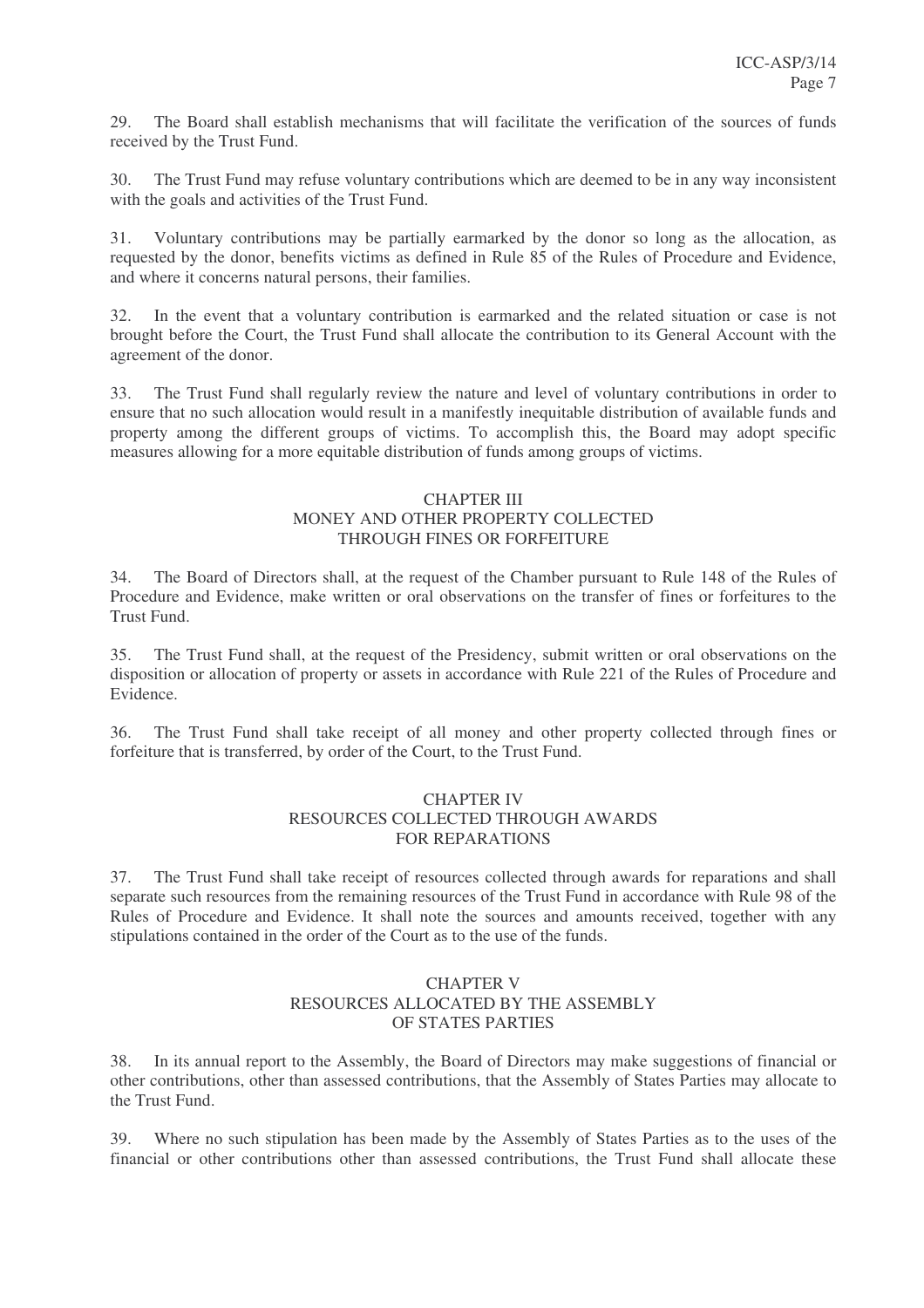29. The Board shall establish mechanisms that will facilitate the verification of the sources of funds received by the Trust Fund.

30. The Trust Fund may refuse voluntary contributions which are deemed to be in any way inconsistent with the goals and activities of the Trust Fund.

31. Voluntary contributions may be partially earmarked by the donor so long as the allocation, as requested by the donor, benefits victims as defined in Rule 85 of the Rules of Procedure and Evidence, and where it concerns natural persons, their families.

32. In the event that a voluntary contribution is earmarked and the related situation or case is not brought before the Court, the Trust Fund shall allocate the contribution to its General Account with the agreement of the donor.

33. The Trust Fund shall regularly review the nature and level of voluntary contributions in order to ensure that no such allocation would result in a manifestly inequitable distribution of available funds and property among the different groups of victims. To accomplish this, the Board may adopt specific measures allowing for a more equitable distribution of funds among groups of victims.

# CHAPTER III MONEY AND OTHER PROPERTY COLLECTED THROUGH FINES OR FORFEITURE

34. The Board of Directors shall, at the request of the Chamber pursuant to Rule 148 of the Rules of Procedure and Evidence, make written or oral observations on the transfer of fines or forfeitures to the Trust Fund.

35. The Trust Fund shall, at the request of the Presidency, submit written or oral observations on the disposition or allocation of property or assets in accordance with Rule 221 of the Rules of Procedure and Evidence.

36. The Trust Fund shall take receipt of all money and other property collected through fines or forfeiture that is transferred, by order of the Court, to the Trust Fund.

# CHAPTER IV RESOURCES COLLECTED THROUGH AWARDS FOR REPARATIONS

37. The Trust Fund shall take receipt of resources collected through awards for reparations and shall separate such resources from the remaining resources of the Trust Fund in accordance with Rule 98 of the Rules of Procedure and Evidence. It shall note the sources and amounts received, together with any stipulations contained in the order of the Court as to the use of the funds.

# CHAPTER V RESOURCES ALLOCATED BY THE ASSEMBLY OF STATES PARTIES

38. In its annual report to the Assembly, the Board of Directors may make suggestions of financial or other contributions, other than assessed contributions, that the Assembly of States Parties may allocate to the Trust Fund.

39. Where no such stipulation has been made by the Assembly of States Parties as to the uses of the financial or other contributions other than assessed contributions, the Trust Fund shall allocate these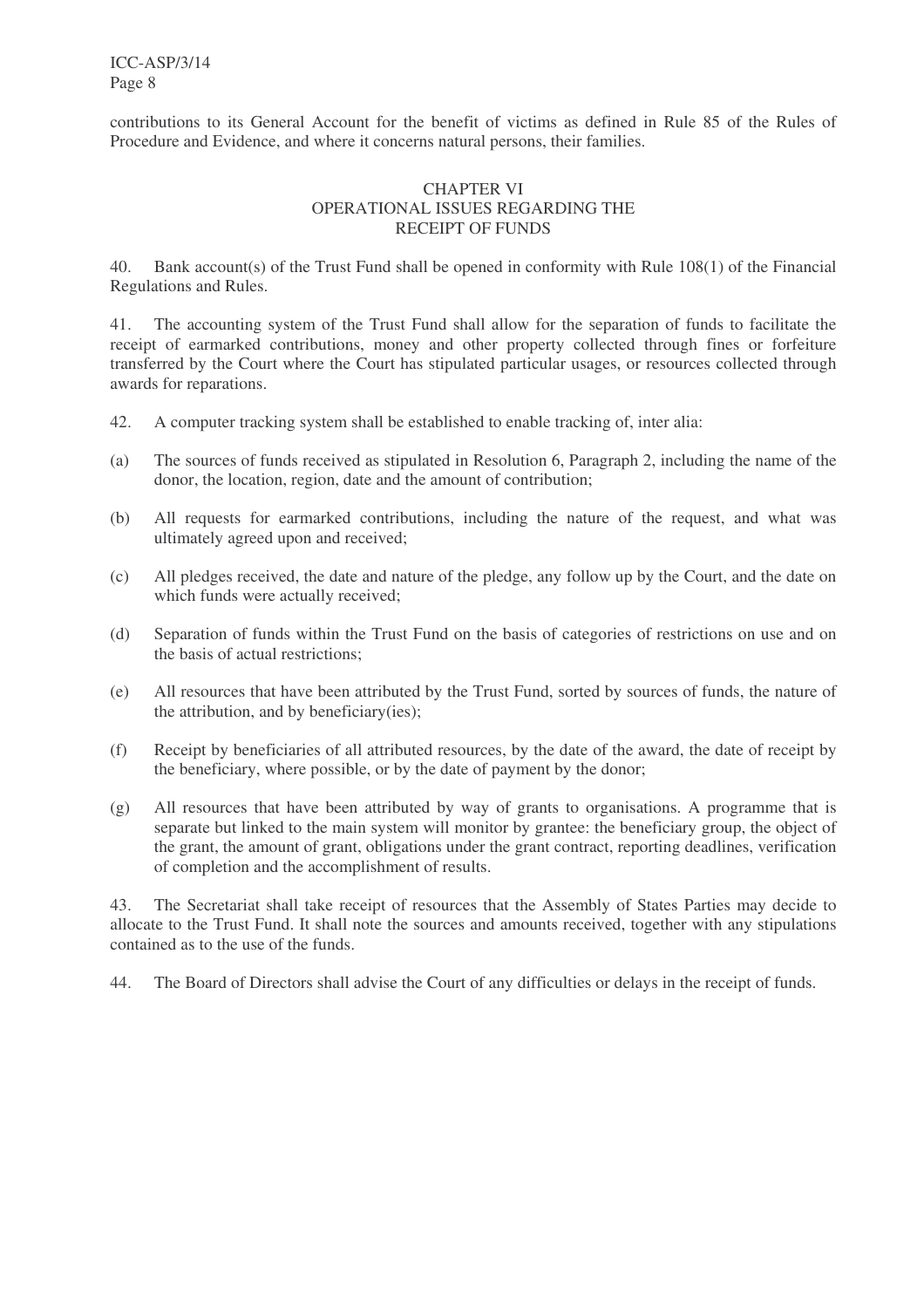ICC-ASP/3/14 Page 8

contributions to its General Account for the benefit of victims as defined in Rule 85 of the Rules of Procedure and Evidence, and where it concerns natural persons, their families.

# CHAPTER VI OPERATIONAL ISSUES REGARDING THE RECEIPT OF FUNDS

40. Bank account(s) of the Trust Fund shall be opened in conformity with Rule 108(1) of the Financial Regulations and Rules.

41. The accounting system of the Trust Fund shall allow for the separation of funds to facilitate the receipt of earmarked contributions, money and other property collected through fines or forfeiture transferred by the Court where the Court has stipulated particular usages, or resources collected through awards for reparations.

- 42. A computer tracking system shall be established to enable tracking of, inter alia:
- (a) The sources of funds received as stipulated in Resolution 6, Paragraph 2, including the name of the donor, the location, region, date and the amount of contribution;
- (b) All requests for earmarked contributions, including the nature of the request, and what was ultimately agreed upon and received;
- (c) All pledges received, the date and nature of the pledge, any follow up by the Court, and the date on which funds were actually received;
- (d) Separation of funds within the Trust Fund on the basis of categories of restrictions on use and on the basis of actual restrictions;
- (e) All resources that have been attributed by the Trust Fund, sorted by sources of funds, the nature of the attribution, and by beneficiary(ies);
- (f) Receipt by beneficiaries of all attributed resources, by the date of the award, the date of receipt by the beneficiary, where possible, or by the date of payment by the donor;
- (g) All resources that have been attributed by way of grants to organisations. A programme that is separate but linked to the main system will monitor by grantee: the beneficiary group, the object of the grant, the amount of grant, obligations under the grant contract, reporting deadlines, verification of completion and the accomplishment of results.

43. The Secretariat shall take receipt of resources that the Assembly of States Parties may decide to allocate to the Trust Fund. It shall note the sources and amounts received, together with any stipulations contained as to the use of the funds.

44. The Board of Directors shall advise the Court of any difficulties or delays in the receipt of funds.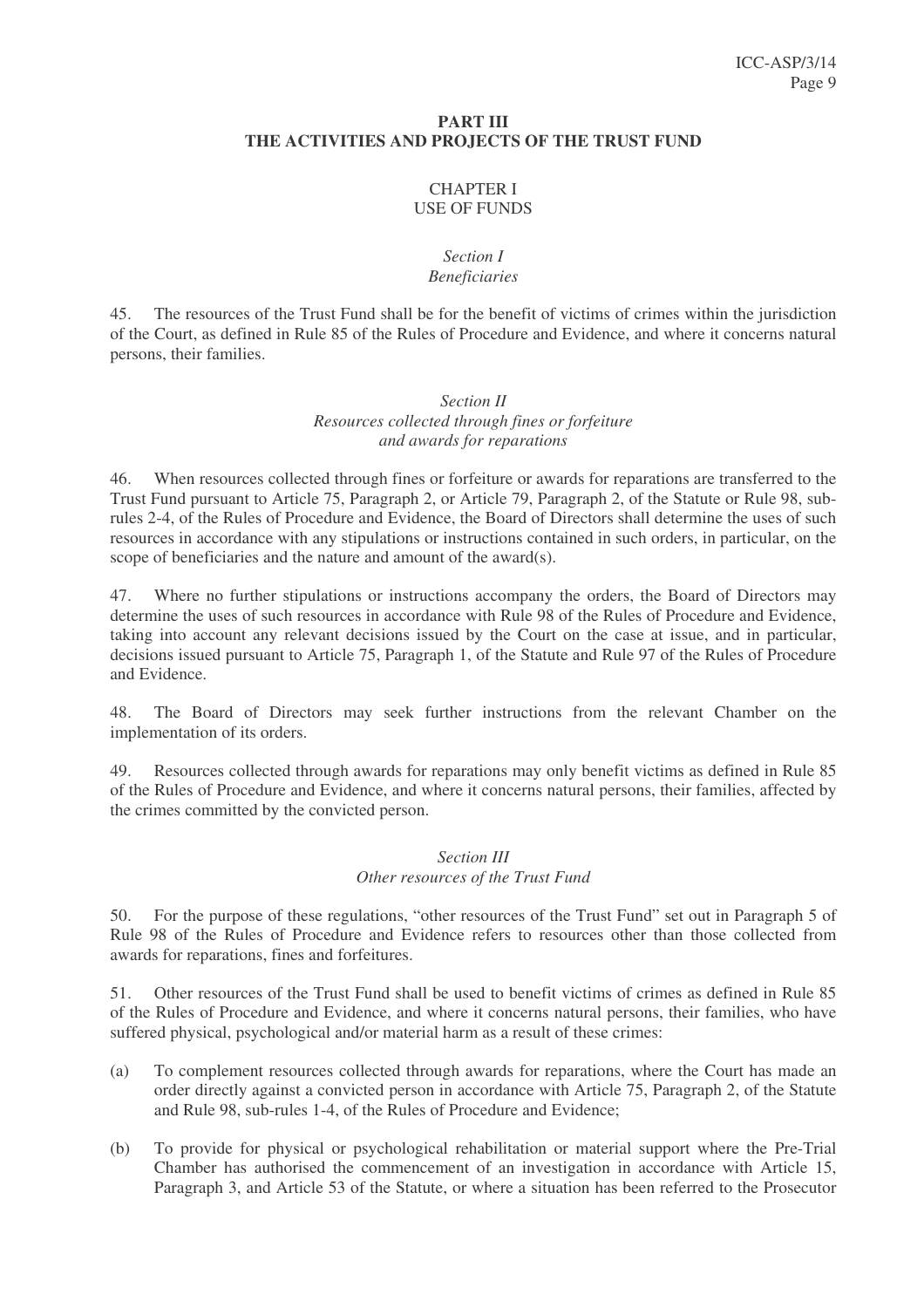#### **PART III THE ACTIVITIES AND PROJECTS OF THE TRUST FUND**

# CHAPTER I USE OF FUNDS

# *Section I Beneficiaries*

45. The resources of the Trust Fund shall be for the benefit of victims of crimes within the jurisdiction of the Court, as defined in Rule 85 of the Rules of Procedure and Evidence, and where it concerns natural persons, their families.

# *Section II Resources collected through fines or forfeiture and awards for reparations*

46. When resources collected through fines or forfeiture or awards for reparations are transferred to the Trust Fund pursuant to Article 75, Paragraph 2, or Article 79, Paragraph 2, of the Statute or Rule 98, subrules 2-4, of the Rules of Procedure and Evidence, the Board of Directors shall determine the uses of such resources in accordance with any stipulations or instructions contained in such orders, in particular, on the scope of beneficiaries and the nature and amount of the award(s).

47. Where no further stipulations or instructions accompany the orders, the Board of Directors may determine the uses of such resources in accordance with Rule 98 of the Rules of Procedure and Evidence, taking into account any relevant decisions issued by the Court on the case at issue, and in particular, decisions issued pursuant to Article 75, Paragraph 1, of the Statute and Rule 97 of the Rules of Procedure and Evidence.

48. The Board of Directors may seek further instructions from the relevant Chamber on the implementation of its orders.

49. Resources collected through awards for reparations may only benefit victims as defined in Rule 85 of the Rules of Procedure and Evidence, and where it concerns natural persons, their families, affected by the crimes committed by the convicted person.

# *Section III Other resources of the Trust Fund*

50. For the purpose of these regulations, "other resources of the Trust Fund" set out in Paragraph 5 of Rule 98 of the Rules of Procedure and Evidence refers to resources other than those collected from awards for reparations, fines and forfeitures.

51. Other resources of the Trust Fund shall be used to benefit victims of crimes as defined in Rule 85 of the Rules of Procedure and Evidence, and where it concerns natural persons, their families, who have suffered physical, psychological and/or material harm as a result of these crimes:

- (a) To complement resources collected through awards for reparations, where the Court has made an order directly against a convicted person in accordance with Article 75, Paragraph 2, of the Statute and Rule 98, sub-rules 1-4, of the Rules of Procedure and Evidence;
- (b) To provide for physical or psychological rehabilitation or material support where the Pre-Trial Chamber has authorised the commencement of an investigation in accordance with Article 15, Paragraph 3, and Article 53 of the Statute, or where a situation has been referred to the Prosecutor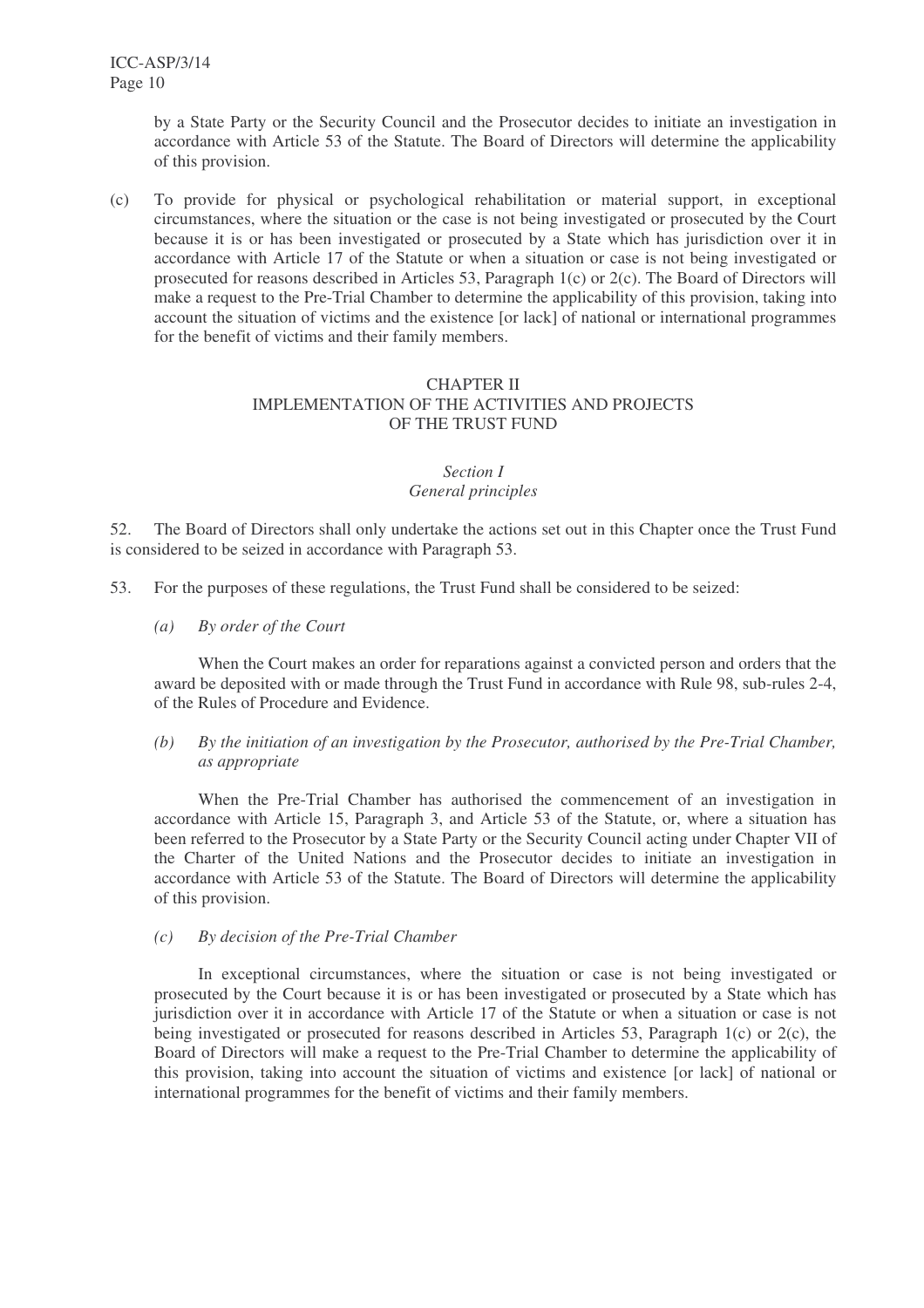by a State Party or the Security Council and the Prosecutor decides to initiate an investigation in accordance with Article 53 of the Statute. The Board of Directors will determine the applicability of this provision.

(c) To provide for physical or psychological rehabilitation or material support, in exceptional circumstances, where the situation or the case is not being investigated or prosecuted by the Court because it is or has been investigated or prosecuted by a State which has jurisdiction over it in accordance with Article 17 of the Statute or when a situation or case is not being investigated or prosecuted for reasons described in Articles 53, Paragraph 1(c) or 2(c). The Board of Directors will make a request to the Pre-Trial Chamber to determine the applicability of this provision, taking into account the situation of victims and the existence [or lack] of national or international programmes for the benefit of victims and their family members.

# CHAPTER II IMPLEMENTATION OF THE ACTIVITIES AND PROJECTS OF THE TRUST FUND

# *Section I General principles*

52. The Board of Directors shall only undertake the actions set out in this Chapter once the Trust Fund is considered to be seized in accordance with Paragraph 53.

- 53. For the purposes of these regulations, the Trust Fund shall be considered to be seized:
	- *(a) By order of the Court*

When the Court makes an order for reparations against a convicted person and orders that the award be deposited with or made through the Trust Fund in accordance with Rule 98, sub-rules 2-4, of the Rules of Procedure and Evidence.

# *(b) By the initiation of an investigation by the Prosecutor, authorised by the Pre-Trial Chamber, as appropriate*

When the Pre-Trial Chamber has authorised the commencement of an investigation in accordance with Article 15, Paragraph 3, and Article 53 of the Statute, or, where a situation has been referred to the Prosecutor by a State Party or the Security Council acting under Chapter VII of the Charter of the United Nations and the Prosecutor decides to initiate an investigation in accordance with Article 53 of the Statute. The Board of Directors will determine the applicability of this provision.

*(c) By decision of the Pre-Trial Chamber*

In exceptional circumstances, where the situation or case is not being investigated or prosecuted by the Court because it is or has been investigated or prosecuted by a State which has jurisdiction over it in accordance with Article 17 of the Statute or when a situation or case is not being investigated or prosecuted for reasons described in Articles 53, Paragraph 1(c) or 2(c), the Board of Directors will make a request to the Pre-Trial Chamber to determine the applicability of this provision, taking into account the situation of victims and existence [or lack] of national or international programmes for the benefit of victims and their family members.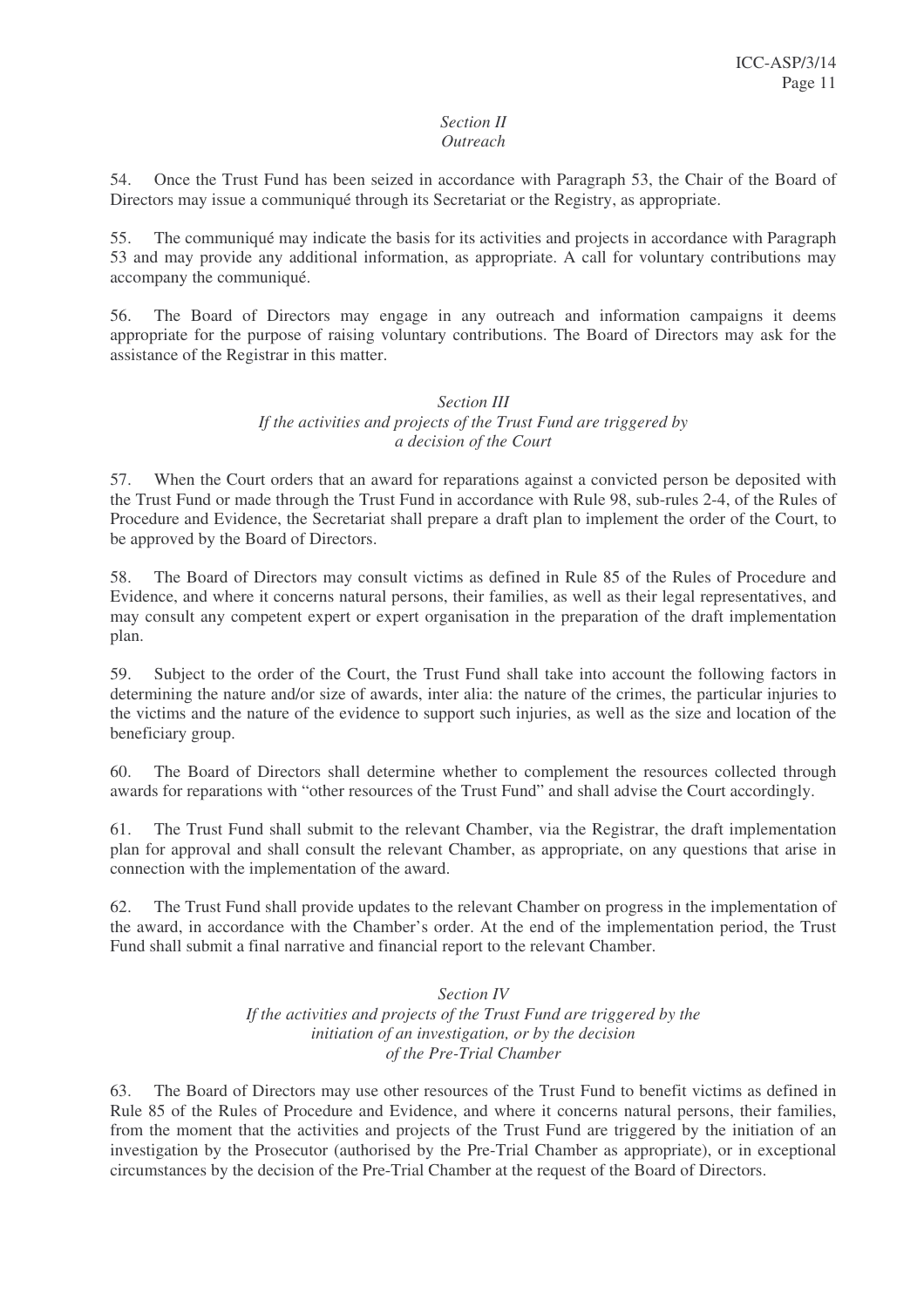#### *Section II Outreach*

54. Once the Trust Fund has been seized in accordance with Paragraph 53, the Chair of the Board of Directors may issue a communiqué through its Secretariat or the Registry, as appropriate.

55. The communiqué may indicate the basis for its activities and projects in accordance with Paragraph 53 and may provide any additional information, as appropriate. A call for voluntary contributions may accompany the communiqué.

56. The Board of Directors may engage in any outreach and information campaigns it deems appropriate for the purpose of raising voluntary contributions. The Board of Directors may ask for the assistance of the Registrar in this matter.

# *Section III If the activities and projects of the Trust Fund are triggered by a decision of the Court*

57. When the Court orders that an award for reparations against a convicted person be deposited with the Trust Fund or made through the Trust Fund in accordance with Rule 98, sub-rules 2-4, of the Rules of Procedure and Evidence, the Secretariat shall prepare a draft plan to implement the order of the Court, to be approved by the Board of Directors.

58. The Board of Directors may consult victims as defined in Rule 85 of the Rules of Procedure and Evidence, and where it concerns natural persons, their families, as well as their legal representatives, and may consult any competent expert or expert organisation in the preparation of the draft implementation plan.

59. Subject to the order of the Court, the Trust Fund shall take into account the following factors in determining the nature and/or size of awards, inter alia: the nature of the crimes, the particular injuries to the victims and the nature of the evidence to support such injuries, as well as the size and location of the beneficiary group.

60. The Board of Directors shall determine whether to complement the resources collected through awards for reparations with "other resources of the Trust Fund" and shall advise the Court accordingly.

61. The Trust Fund shall submit to the relevant Chamber, via the Registrar, the draft implementation plan for approval and shall consult the relevant Chamber, as appropriate, on any questions that arise in connection with the implementation of the award.

62. The Trust Fund shall provide updates to the relevant Chamber on progress in the implementation of the award, in accordance with the Chamber's order. At the end of the implementation period, the Trust Fund shall submit a final narrative and financial report to the relevant Chamber.

# *Section IV If the activities and projects of the Trust Fund are triggered by the initiation of an investigation, or by the decision of the Pre-Trial Chamber*

63. The Board of Directors may use other resources of the Trust Fund to benefit victims as defined in Rule 85 of the Rules of Procedure and Evidence, and where it concerns natural persons, their families, from the moment that the activities and projects of the Trust Fund are triggered by the initiation of an investigation by the Prosecutor (authorised by the Pre-Trial Chamber as appropriate), or in exceptional circumstances by the decision of the Pre-Trial Chamber at the request of the Board of Directors.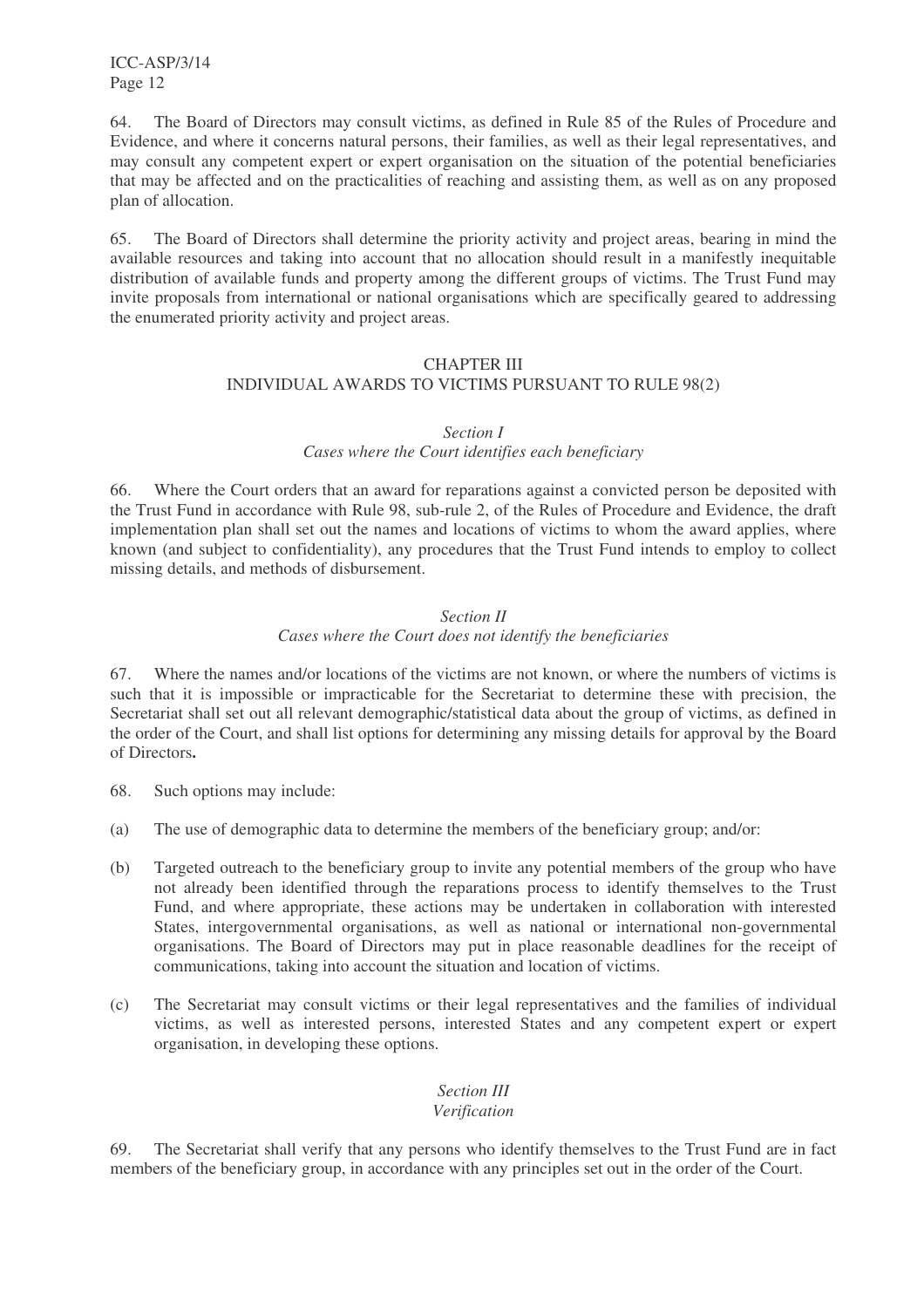64. The Board of Directors may consult victims, as defined in Rule 85 of the Rules of Procedure and Evidence, and where it concerns natural persons, their families, as well as their legal representatives, and may consult any competent expert or expert organisation on the situation of the potential beneficiaries that may be affected and on the practicalities of reaching and assisting them, as well as on any proposed plan of allocation.

65. The Board of Directors shall determine the priority activity and project areas, bearing in mind the available resources and taking into account that no allocation should result in a manifestly inequitable distribution of available funds and property among the different groups of victims. The Trust Fund may invite proposals from international or national organisations which are specifically geared to addressing the enumerated priority activity and project areas.

# CHAPTER III INDIVIDUAL AWARDS TO VICTIMS PURSUANT TO RULE 98(2)

# *Section I*

# *Cases where the Court identifies each beneficiary*

66. Where the Court orders that an award for reparations against a convicted person be deposited with the Trust Fund in accordance with Rule 98, sub-rule 2, of the Rules of Procedure and Evidence, the draft implementation plan shall set out the names and locations of victims to whom the award applies, where known (and subject to confidentiality), any procedures that the Trust Fund intends to employ to collect missing details, and methods of disbursement.

# *Section II Cases where the Court does not identify the beneficiaries*

67. Where the names and/or locations of the victims are not known, or where the numbers of victims is such that it is impossible or impracticable for the Secretariat to determine these with precision, the Secretariat shall set out all relevant demographic/statistical data about the group of victims, as defined in the order of the Court, and shall list options for determining any missing details for approval by the Board of Directors**.**

- 68. Such options may include:
- (a) The use of demographic data to determine the members of the beneficiary group; and/or:
- (b) Targeted outreach to the beneficiary group to invite any potential members of the group who have not already been identified through the reparations process to identify themselves to the Trust Fund, and where appropriate, these actions may be undertaken in collaboration with interested States, intergovernmental organisations, as well as national or international non-governmental organisations. The Board of Directors may put in place reasonable deadlines for the receipt of communications, taking into account the situation and location of victims.
- (c) The Secretariat may consult victims or their legal representatives and the families of individual victims, as well as interested persons, interested States and any competent expert or expert organisation, in developing these options.

# *Section III*

# *Verification*

69. The Secretariat shall verify that any persons who identify themselves to the Trust Fund are in fact members of the beneficiary group, in accordance with any principles set out in the order of the Court.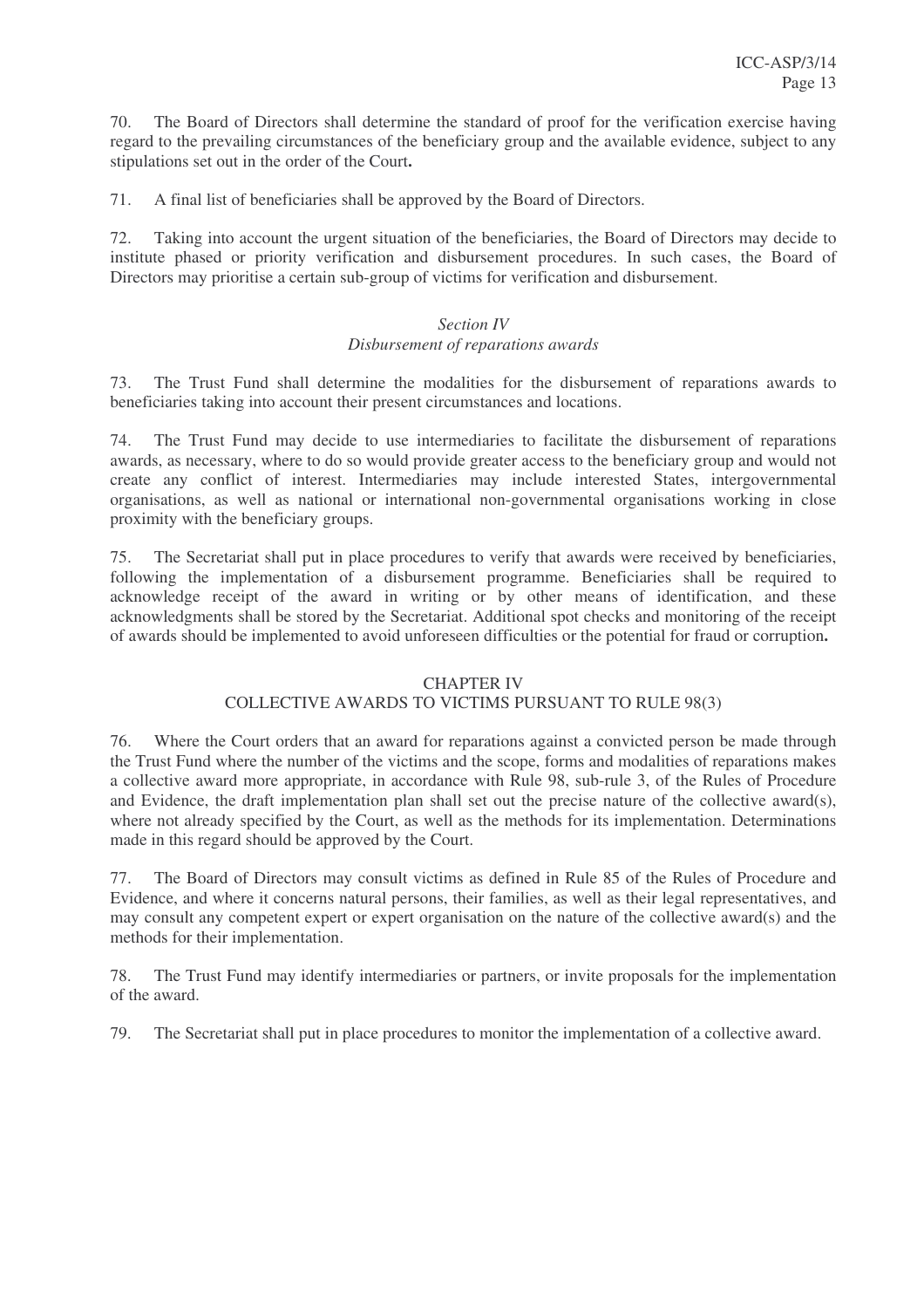70. The Board of Directors shall determine the standard of proof for the verification exercise having regard to the prevailing circumstances of the beneficiary group and the available evidence, subject to any stipulations set out in the order of the Court**.**

71. A final list of beneficiaries shall be approved by the Board of Directors.

72. Taking into account the urgent situation of the beneficiaries, the Board of Directors may decide to institute phased or priority verification and disbursement procedures. In such cases, the Board of Directors may prioritise a certain sub-group of victims for verification and disbursement.

# *Section IV Disbursement of reparations awards*

73. The Trust Fund shall determine the modalities for the disbursement of reparations awards to beneficiaries taking into account their present circumstances and locations.

74. The Trust Fund may decide to use intermediaries to facilitate the disbursement of reparations awards, as necessary, where to do so would provide greater access to the beneficiary group and would not create any conflict of interest. Intermediaries may include interested States, intergovernmental organisations, as well as national or international non-governmental organisations working in close proximity with the beneficiary groups.

75. The Secretariat shall put in place procedures to verify that awards were received by beneficiaries, following the implementation of a disbursement programme. Beneficiaries shall be required to acknowledge receipt of the award in writing or by other means of identification, and these acknowledgments shall be stored by the Secretariat. Additional spot checks and monitoring of the receipt of awards should be implemented to avoid unforeseen difficulties or the potential for fraud or corruption**.**

# CHAPTER IV

# COLLECTIVE AWARDS TO VICTIMS PURSUANT TO RULE 98(3)

76. Where the Court orders that an award for reparations against a convicted person be made through the Trust Fund where the number of the victims and the scope, forms and modalities of reparations makes a collective award more appropriate, in accordance with Rule 98, sub-rule 3, of the Rules of Procedure and Evidence, the draft implementation plan shall set out the precise nature of the collective award(s), where not already specified by the Court, as well as the methods for its implementation. Determinations made in this regard should be approved by the Court.

77. The Board of Directors may consult victims as defined in Rule 85 of the Rules of Procedure and Evidence, and where it concerns natural persons, their families, as well as their legal representatives, and may consult any competent expert or expert organisation on the nature of the collective award(s) and the methods for their implementation.

78. The Trust Fund may identify intermediaries or partners, or invite proposals for the implementation of the award.

79. The Secretariat shall put in place procedures to monitor the implementation of a collective award.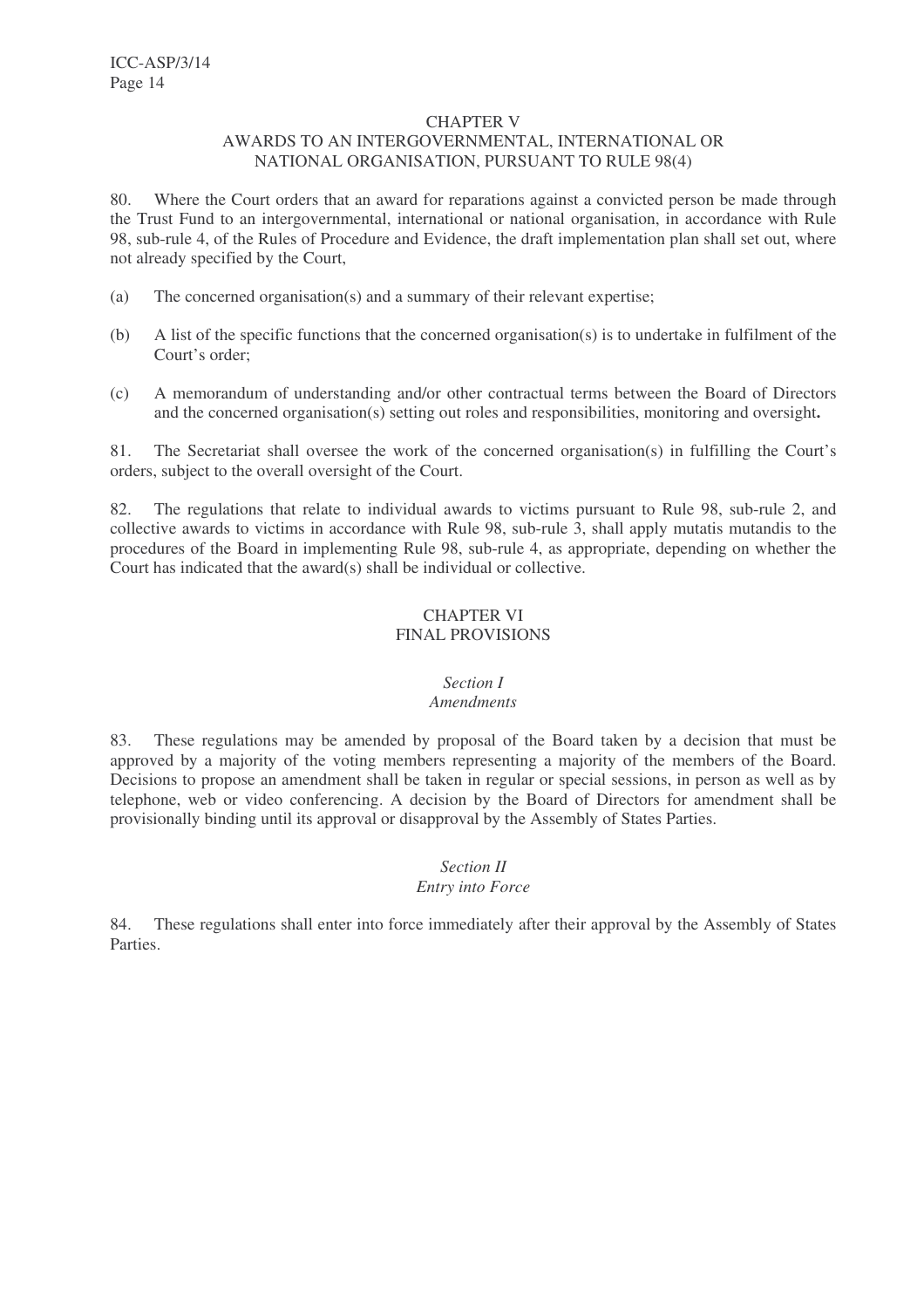#### CHAPTER V

#### AWARDS TO AN INTERGOVERNMENTAL, INTERNATIONAL OR NATIONAL ORGANISATION, PURSUANT TO RULE 98(4)

80. Where the Court orders that an award for reparations against a convicted person be made through the Trust Fund to an intergovernmental, international or national organisation, in accordance with Rule 98, sub-rule 4, of the Rules of Procedure and Evidence, the draft implementation plan shall set out, where not already specified by the Court,

- (a) The concerned organisation(s) and a summary of their relevant expertise;
- (b) A list of the specific functions that the concerned organisation(s) is to undertake in fulfilment of the Court's order;
- (c) A memorandum of understanding and/or other contractual terms between the Board of Directors and the concerned organisation(s) setting out roles and responsibilities, monitoring and oversight**.**

81. The Secretariat shall oversee the work of the concerned organisation(s) in fulfilling the Court's orders, subject to the overall oversight of the Court.

82. The regulations that relate to individual awards to victims pursuant to Rule 98, sub-rule 2, and collective awards to victims in accordance with Rule 98, sub-rule 3, shall apply mutatis mutandis to the procedures of the Board in implementing Rule 98, sub-rule 4, as appropriate, depending on whether the Court has indicated that the award(s) shall be individual or collective.

# CHAPTER VI FINAL PROVISIONS

# *Section I*

# *Amendments*

83. These regulations may be amended by proposal of the Board taken by a decision that must be approved by a majority of the voting members representing a majority of the members of the Board. Decisions to propose an amendment shall be taken in regular or special sessions, in person as well as by telephone, web or video conferencing. A decision by the Board of Directors for amendment shall be provisionally binding until its approval or disapproval by the Assembly of States Parties.

#### *Section II Entry into Force*

84. These regulations shall enter into force immediately after their approval by the Assembly of States Parties.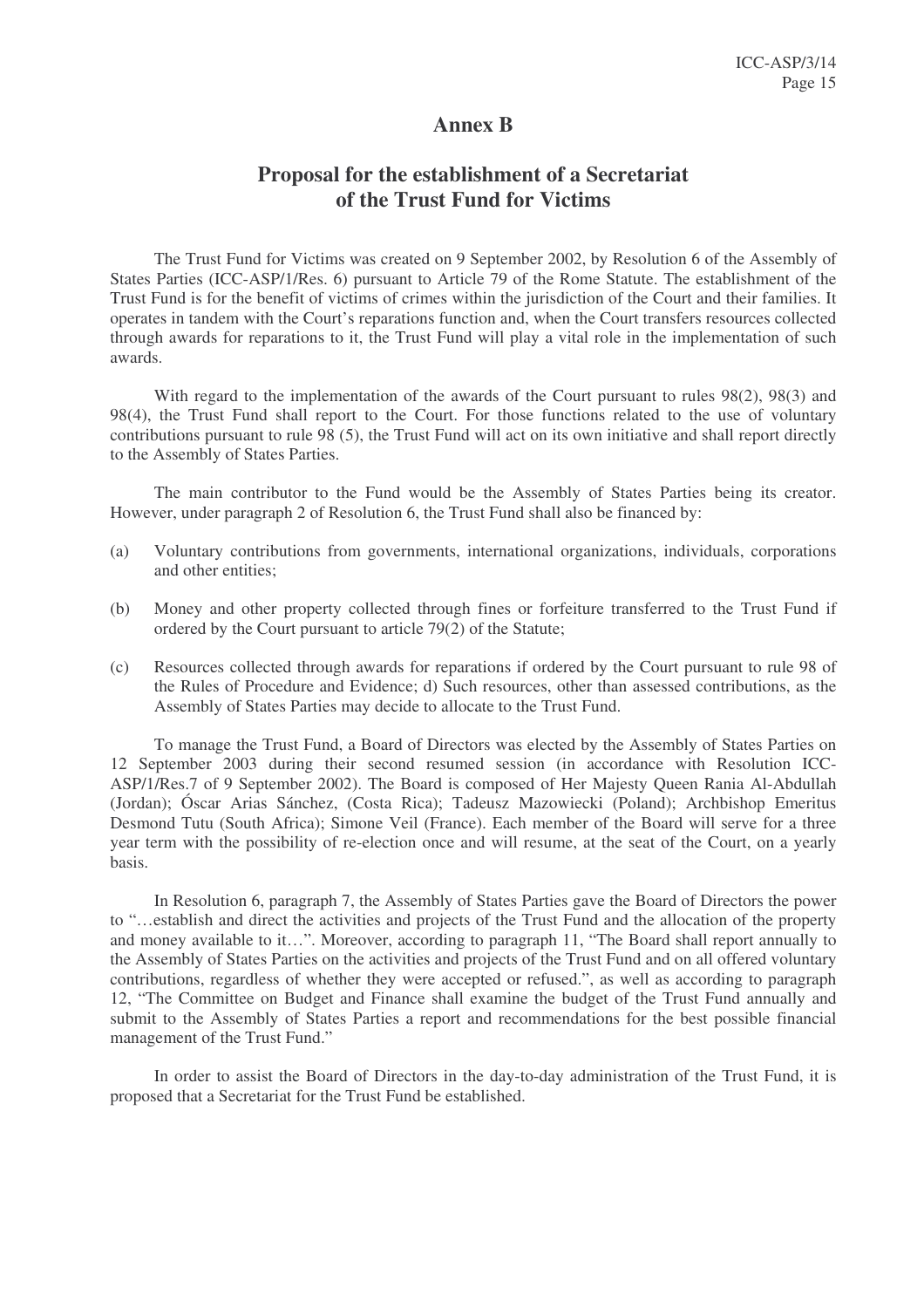# **Annex B**

# **Proposal for the establishment of a Secretariat of the Trust Fund for Victims**

The Trust Fund for Victims was created on 9 September 2002, by Resolution 6 of the Assembly of States Parties (ICC-ASP/1/Res. 6) pursuant to Article 79 of the Rome Statute. The establishment of the Trust Fund is for the benefit of victims of crimes within the jurisdiction of the Court and their families. It operates in tandem with the Court's reparations function and, when the Court transfers resources collected through awards for reparations to it, the Trust Fund will play a vital role in the implementation of such awards.

With regard to the implementation of the awards of the Court pursuant to rules 98(2), 98(3) and 98(4), the Trust Fund shall report to the Court. For those functions related to the use of voluntary contributions pursuant to rule  $98(5)$ , the Trust Fund will act on its own initiative and shall report directly to the Assembly of States Parties.

The main contributor to the Fund would be the Assembly of States Parties being its creator. However, under paragraph 2 of Resolution 6, the Trust Fund shall also be financed by:

- (a) Voluntary contributions from governments, international organizations, individuals, corporations and other entities;
- (b) Money and other property collected through fines or forfeiture transferred to the Trust Fund if ordered by the Court pursuant to article 79(2) of the Statute;
- (c) Resources collected through awards for reparations if ordered by the Court pursuant to rule 98 of the Rules of Procedure and Evidence; d) Such resources, other than assessed contributions, as the Assembly of States Parties may decide to allocate to the Trust Fund.

To manage the Trust Fund, a Board of Directors was elected by the Assembly of States Parties on 12 September 2003 during their second resumed session (in accordance with Resolution ICC-ASP/1/Res.7 of 9 September 2002). The Board is composed of Her Majesty Queen Rania Al-Abdullah (Jordan); Óscar Arias Sánchez, (Costa Rica); Tadeusz Mazowiecki (Poland); Archbishop Emeritus Desmond Tutu (South Africa); Simone Veil (France). Each member of the Board will serve for a three year term with the possibility of re-election once and will resume, at the seat of the Court, on a yearly basis.

In Resolution 6, paragraph 7, the Assembly of States Parties gave the Board of Directors the power to "…establish and direct the activities and projects of the Trust Fund and the allocation of the property and money available to it…". Moreover, according to paragraph 11, "The Board shall report annually to the Assembly of States Parties on the activities and projects of the Trust Fund and on all offered voluntary contributions, regardless of whether they were accepted or refused.", as well as according to paragraph 12, "The Committee on Budget and Finance shall examine the budget of the Trust Fund annually and submit to the Assembly of States Parties a report and recommendations for the best possible financial management of the Trust Fund."

In order to assist the Board of Directors in the day-to-day administration of the Trust Fund, it is proposed that a Secretariat for the Trust Fund be established.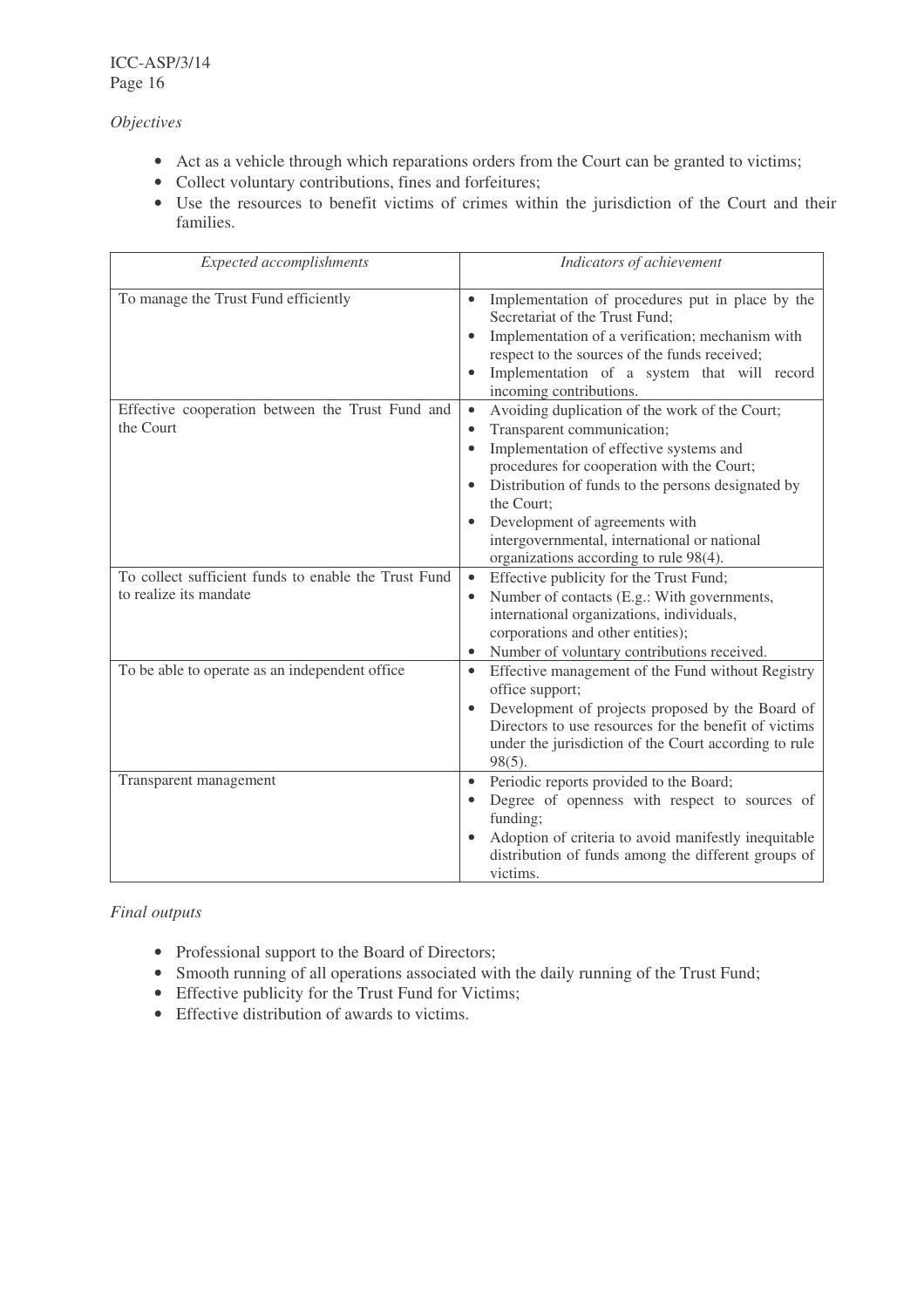*Objectives*

- Act as a vehicle through which reparations orders from the Court can be granted to victims;
- Collect voluntary contributions, fines and forfeitures;
- Use the resources to benefit victims of crimes within the jurisdiction of the Court and their families.

| <b>Expected</b> accomplishments                                                | Indicators of achievement                                                                                                                                                                                                                                                                                                                                                                       |
|--------------------------------------------------------------------------------|-------------------------------------------------------------------------------------------------------------------------------------------------------------------------------------------------------------------------------------------------------------------------------------------------------------------------------------------------------------------------------------------------|
| To manage the Trust Fund efficiently                                           | Implementation of procedures put in place by the<br>Secretariat of the Trust Fund;<br>Implementation of a verification; mechanism with<br>$\bullet$<br>respect to the sources of the funds received;<br>Implementation of a system that will record<br>incoming contributions.                                                                                                                  |
| Effective cooperation between the Trust Fund and<br>the Court                  | Avoiding duplication of the work of the Court;<br>Transparent communication;<br>$\bullet$<br>Implementation of effective systems and<br>procedures for cooperation with the Court;<br>Distribution of funds to the persons designated by<br>the Court:<br>Development of agreements with<br>$\bullet$<br>intergovernmental, international or national<br>organizations according to rule 98(4). |
| To collect sufficient funds to enable the Trust Fund<br>to realize its mandate | Effective publicity for the Trust Fund;<br>$\bullet$<br>Number of contacts (E.g.: With governments,<br>international organizations, individuals,<br>corporations and other entities);<br>Number of voluntary contributions received.                                                                                                                                                            |
| To be able to operate as an independent office                                 | Effective management of the Fund without Registry<br>$\bullet$<br>office support;<br>Development of projects proposed by the Board of<br>$\bullet$<br>Directors to use resources for the benefit of victims<br>under the jurisdiction of the Court according to rule<br>$98(5)$ .                                                                                                               |
| Transparent management                                                         | Periodic reports provided to the Board;<br>$\bullet$<br>Degree of openness with respect to sources of<br>funding;<br>Adoption of criteria to avoid manifestly inequitable<br>$\bullet$<br>distribution of funds among the different groups of<br>victims.                                                                                                                                       |

# *Final outputs*

- Professional support to the Board of Directors;
- Smooth running of all operations associated with the daily running of the Trust Fund;
- Effective publicity for the Trust Fund for Victims;
- Effective distribution of awards to victims.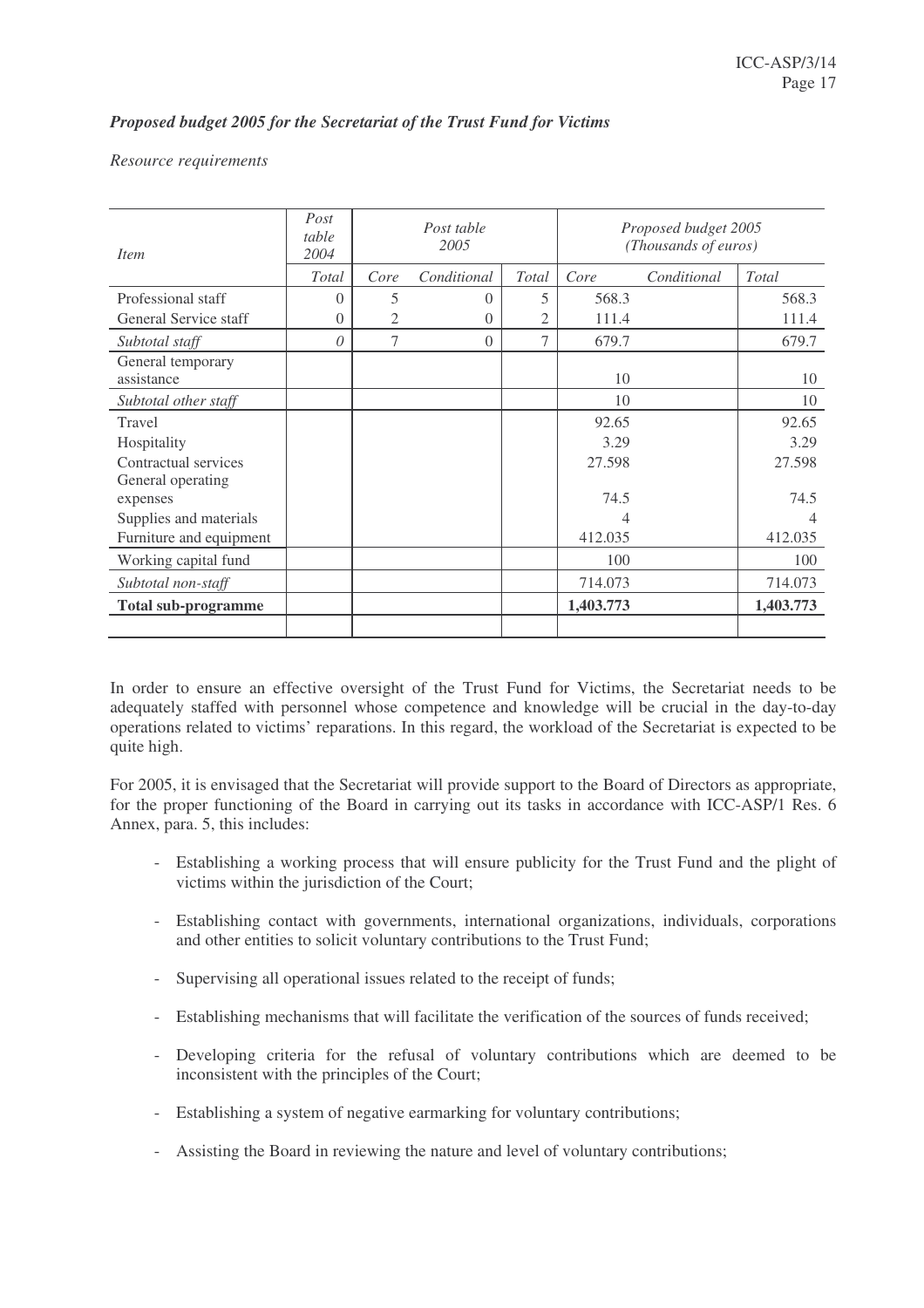# *Proposed budget 2005 for the Secretariat of the Trust Fund for Victims*

#### *Resource requirements*

| <i>Item</i>                     | Post<br>table<br>2004 |      | Post table<br>2005 |       |           | Proposed budget 2005<br>(Thousands of euros) |           |
|---------------------------------|-----------------------|------|--------------------|-------|-----------|----------------------------------------------|-----------|
|                                 | <b>Total</b>          | Core | Conditional        | Total | Core      | Conditional                                  | Total     |
| Professional staff              | 0                     | 5    | $\Omega$           | 5     | 568.3     |                                              | 568.3     |
| General Service staff           | 0                     | 2    | 0                  | 2     | 111.4     |                                              | 111.4     |
| Subtotal staff                  | 0                     | 7    | $\Omega$           | 7     | 679.7     |                                              | 679.7     |
| General temporary<br>assistance |                       |      |                    |       | 10        |                                              | 10        |
| Subtotal other staff            |                       |      |                    |       | 10        |                                              | 10        |
| Travel                          |                       |      |                    |       | 92.65     |                                              | 92.65     |
| Hospitality                     |                       |      |                    |       | 3.29      |                                              | 3.29      |
| Contractual services            |                       |      |                    |       | 27.598    |                                              | 27.598    |
| General operating               |                       |      |                    |       |           |                                              |           |
| expenses                        |                       |      |                    |       | 74.5      |                                              | 74.5      |
| Supplies and materials          |                       |      |                    |       | 4         |                                              | 4         |
| Furniture and equipment         |                       |      |                    |       | 412.035   |                                              | 412.035   |
| Working capital fund            |                       |      |                    |       | 100       |                                              | 100       |
| Subtotal non-staff              |                       |      |                    |       | 714.073   |                                              | 714.073   |
| <b>Total sub-programme</b>      |                       |      |                    |       | 1,403.773 |                                              | 1,403.773 |
|                                 |                       |      |                    |       |           |                                              |           |

In order to ensure an effective oversight of the Trust Fund for Victims, the Secretariat needs to be adequately staffed with personnel whose competence and knowledge will be crucial in the day-to-day operations related to victims' reparations. In this regard, the workload of the Secretariat is expected to be quite high.

For 2005, it is envisaged that the Secretariat will provide support to the Board of Directors as appropriate, for the proper functioning of the Board in carrying out its tasks in accordance with ICC-ASP/1 Res. 6 Annex, para. 5, this includes:

- Establishing a working process that will ensure publicity for the Trust Fund and the plight of victims within the jurisdiction of the Court;
- Establishing contact with governments, international organizations, individuals, corporations and other entities to solicit voluntary contributions to the Trust Fund;
- Supervising all operational issues related to the receipt of funds;
- Establishing mechanisms that will facilitate the verification of the sources of funds received;
- Developing criteria for the refusal of voluntary contributions which are deemed to be inconsistent with the principles of the Court;
- Establishing a system of negative earmarking for voluntary contributions;
- Assisting the Board in reviewing the nature and level of voluntary contributions;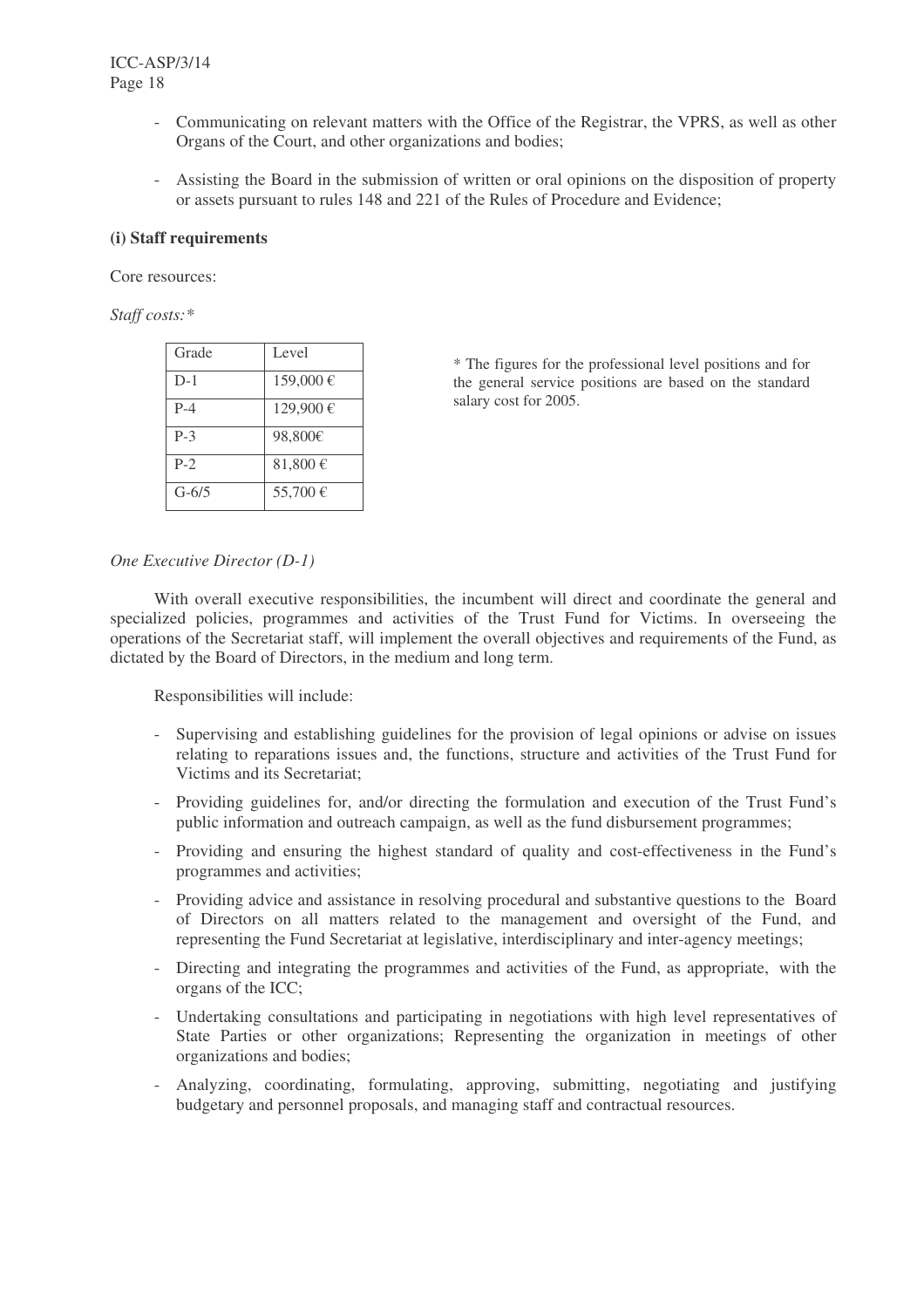- Communicating on relevant matters with the Office of the Registrar, the VPRS, as well as other Organs of the Court, and other organizations and bodies;
- Assisting the Board in the submission of written or oral opinions on the disposition of property or assets pursuant to rules 148 and 221 of the Rules of Procedure and Evidence;

#### **(i) Staff requirements**

Core resources:

*Staff costs:\**

| Level    |
|----------|
| 159,000€ |
| 129,900€ |
|          |
| 98,800€  |
| 81,800€  |
| 55,700€  |
|          |

\* The figures for the professional level positions and for the general service positions are based on the standard salary cost for 2005.

#### *One Executive Director (D-1)*

With overall executive responsibilities, the incumbent will direct and coordinate the general and specialized policies, programmes and activities of the Trust Fund for Victims. In overseeing the operations of the Secretariat staff, will implement the overall objectives and requirements of the Fund, as dictated by the Board of Directors, in the medium and long term.

Responsibilities will include:

- Supervising and establishing guidelines for the provision of legal opinions or advise on issues relating to reparations issues and, the functions, structure and activities of the Trust Fund for Victims and its Secretariat;
- Providing guidelines for, and/or directing the formulation and execution of the Trust Fund's public information and outreach campaign, as well as the fund disbursement programmes;
- Providing and ensuring the highest standard of quality and cost-effectiveness in the Fund's programmes and activities;
- Providing advice and assistance in resolving procedural and substantive questions to the Board of Directors on all matters related to the management and oversight of the Fund, and representing the Fund Secretariat at legislative, interdisciplinary and inter-agency meetings;
- Directing and integrating the programmes and activities of the Fund, as appropriate, with the organs of the ICC;
- Undertaking consultations and participating in negotiations with high level representatives of State Parties or other organizations; Representing the organization in meetings of other organizations and bodies;
- Analyzing, coordinating, formulating, approving, submitting, negotiating and justifying budgetary and personnel proposals, and managing staff and contractual resources.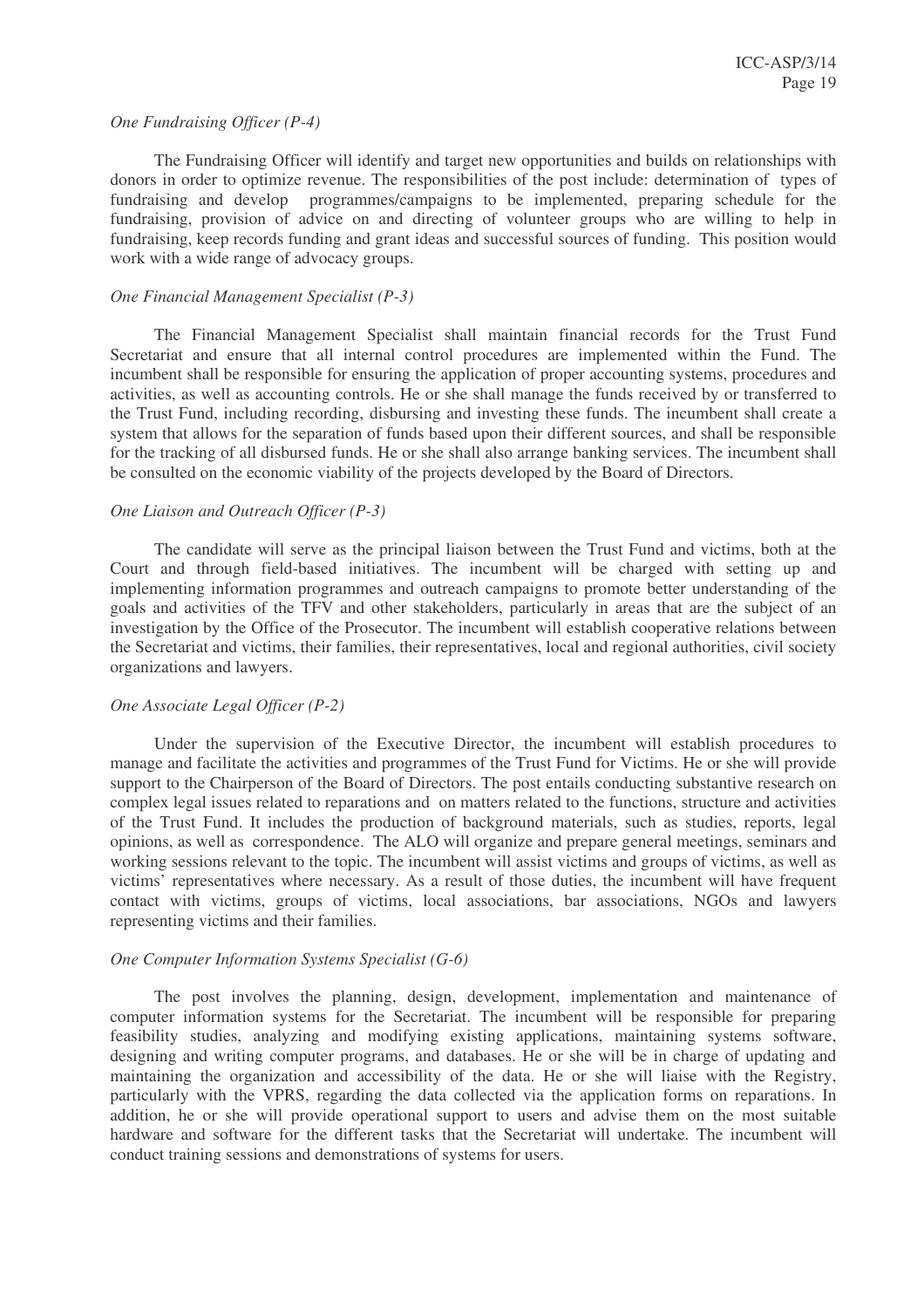#### *One Fundraising Officer (P-4)*

The Fundraising Officer will identify and target new opportunities and builds on relationships with donors in order to optimize revenue. The responsibilities of the post include: determination of types of fundraising and develop programmes/campaigns to be implemented, preparing schedule for the fundraising, provision of advice on and directing of volunteer groups who are willing to help in fundraising, keep records funding and grant ideas and successful sources of funding. This position would work with a wide range of advocacy groups.

# *One Financial Management Specialist (P-3)*

The Financial Management Specialist shall maintain financial records for the Trust Fund Secretariat and ensure that all internal control procedures are implemented within the Fund. The incumbent shall be responsible for ensuring the application of proper accounting systems, procedures and activities, as well as accounting controls. He or she shall manage the funds received by or transferred to the Trust Fund, including recording, disbursing and investing these funds. The incumbent shall create a system that allows for the separation of funds based upon their different sources, and shall be responsible for the tracking of all disbursed funds. He or she shall also arrange banking services. The incumbent shall be consulted on the economic viability of the projects developed by the Board of Directors.

#### *One Liaison and Outreach Officer (P-3)*

The candidate will serve as the principal liaison between the Trust Fund and victims, both at the Court and through field-based initiatives. The incumbent will be charged with setting up and implementing information programmes and outreach campaigns to promote better understanding of the goals and activities of the TFV and other stakeholders, particularly in areas that are the subject of an investigation by the Office of the Prosecutor. The incumbent will establish cooperative relations between the Secretariat and victims, their families, their representatives, local and regional authorities, civil society organizations and lawyers.

#### *One Associate Legal Officer (P-2)*

Under the supervision of the Executive Director, the incumbent will establish procedures to manage and facilitate the activities and programmes of the Trust Fund for Victims. He or she will provide support to the Chairperson of the Board of Directors. The post entails conducting substantive research on complex legal issues related to reparations and on matters related to the functions, structure and activities of the Trust Fund. It includes the production of background materials, such as studies, reports, legal opinions, as well as correspondence. The ALO will organize and prepare general meetings, seminars and working sessions relevant to the topic. The incumbent will assist victims and groups of victims, as well as victims' representatives where necessary. As a result of those duties, the incumbent will have frequent contact with victims, groups of victims, local associations, bar associations, NGOs and lawyers representing victims and their families.

#### *One Computer Information Systems Specialist (G-6)*

The post involves the planning, design, development, implementation and maintenance of computer information systems for the Secretariat. The incumbent will be responsible for preparing feasibility studies, analyzing and modifying existing applications, maintaining systems software, designing and writing computer programs, and databases. He or she will be in charge of updating and maintaining the organization and accessibility of the data. He or she will liaise with the Registry, particularly with the VPRS, regarding the data collected via the application forms on reparations. In addition, he or she will provide operational support to users and advise them on the most suitable hardware and software for the different tasks that the Secretariat will undertake. The incumbent will conduct training sessions and demonstrations of systems for users.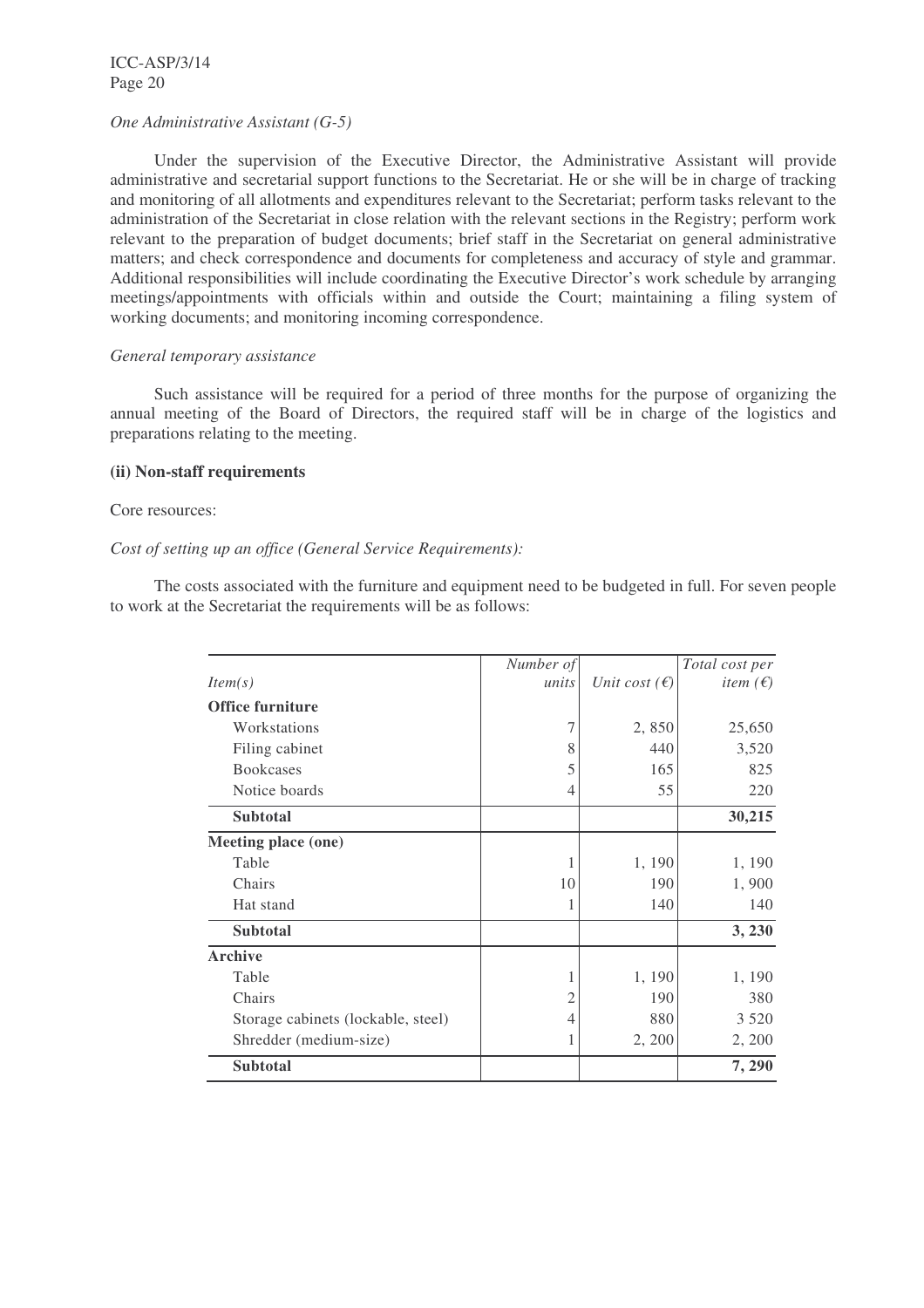ICC-ASP/3/14 Page 20

#### *One Administrative Assistant (G-5)*

Under the supervision of the Executive Director, the Administrative Assistant will provide administrative and secretarial support functions to the Secretariat. He or she will be in charge of tracking and monitoring of all allotments and expenditures relevant to the Secretariat; perform tasks relevant to the administration of the Secretariat in close relation with the relevant sections in the Registry; perform work relevant to the preparation of budget documents; brief staff in the Secretariat on general administrative matters; and check correspondence and documents for completeness and accuracy of style and grammar. Additional responsibilities will include coordinating the Executive Director's work schedule by arranging meetings/appointments with officials within and outside the Court; maintaining a filing system of working documents; and monitoring incoming correspondence.

#### *General temporary assistance*

Such assistance will be required for a period of three months for the purpose of organizing the annual meeting of the Board of Directors, the required staff will be in charge of the logistics and preparations relating to the meeting.

#### **(ii) Non-staff requirements**

#### Core resources:

#### *Cost of setting up an office (General Service Requirements):*

The costs associated with the furniture and equipment need to be budgeted in full. For seven people to work at the Secretariat the requirements will be as follows:

|                                    | Number of      |                        | Total cost per           |
|------------------------------------|----------------|------------------------|--------------------------|
| Item(s)                            | units          | Unit cost $(\epsilon)$ | <i>item</i> $(\epsilon)$ |
| <b>Office furniture</b>            |                |                        |                          |
| Workstations                       |                | 2,850                  | 25,650                   |
| Filing cabinet                     | 8              | 440                    | 3,520                    |
| <b>Bookcases</b>                   | 5              | 165                    | 825                      |
| Notice boards                      | 4              | 55                     | 220                      |
| <b>Subtotal</b>                    |                |                        | 30,215                   |
| Meeting place (one)                |                |                        |                          |
| Table                              |                | 1, 190                 | 1, 190                   |
| Chairs                             | 10             | 190                    | 1,900                    |
| Hat stand                          |                | 140                    | 140                      |
| <b>Subtotal</b>                    |                |                        | 3, 230                   |
| <b>Archive</b>                     |                |                        |                          |
| Table                              |                | 1, 190                 | 1, 190                   |
| Chairs                             | $\overline{2}$ | 190                    | 380                      |
| Storage cabinets (lockable, steel) | 4              | 880                    | 3 5 2 0                  |
| Shredder (medium-size)             |                | 2, 200                 | 2, 200                   |
| <b>Subtotal</b>                    |                |                        | 7, 290                   |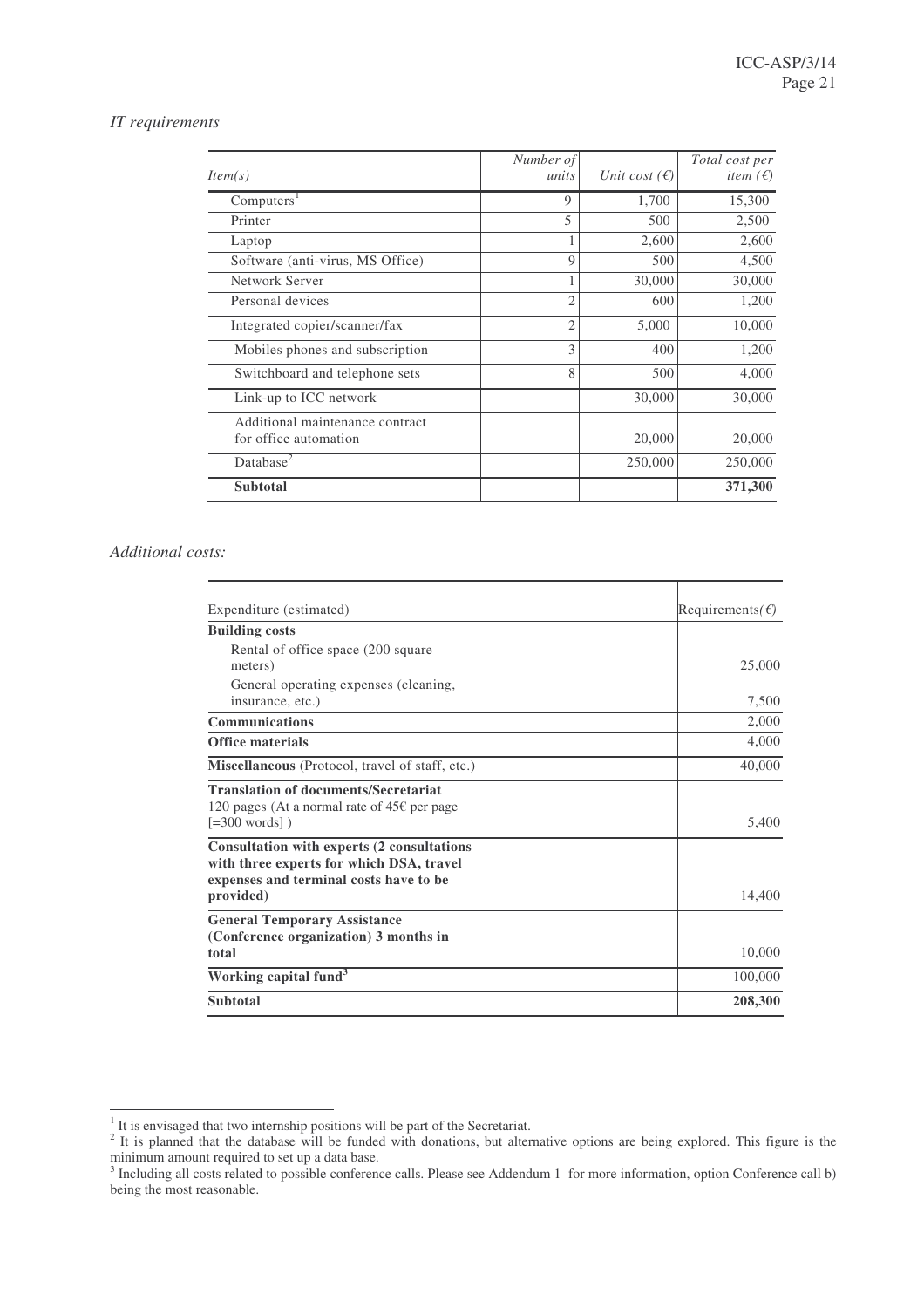## *IT requirements*

| Item(s)                                                  | Number of<br>units | Unit cost $(\epsilon)$ | Total cost per<br><i>item</i> $(\epsilon)$ |
|----------------------------------------------------------|--------------------|------------------------|--------------------------------------------|
| Computers <sup>1</sup>                                   | 9                  | 1,700                  | 15,300                                     |
| Printer                                                  | 5                  | 500                    | 2,500                                      |
| Laptop                                                   |                    | 2,600                  | 2,600                                      |
| Software (anti-virus, MS Office)                         | 9                  | 500                    | 4,500                                      |
| Network Server                                           |                    | 30,000                 | 30,000                                     |
| Personal devices                                         | 2                  | 600                    | 1,200                                      |
| Integrated copier/scanner/fax                            | $\mathfrak{2}$     | 5,000                  | 10,000                                     |
| Mobiles phones and subscription                          | 3                  | 400                    | 1,200                                      |
| Switchboard and telephone sets                           | 8                  | 500                    | 4,000                                      |
| Link-up to ICC network                                   |                    | 30,000                 | 30,000                                     |
| Additional maintenance contract<br>for office automation |                    | 20,000                 | 20,000                                     |
| Database <sup>2</sup>                                    |                    | 250,000                | 250,000                                    |
| <b>Subtotal</b>                                          |                    |                        | 371,300                                    |

# *Additional costs:*

| Expenditure (estimated)                                                                              | Requirements( $\epsilon$ ) |
|------------------------------------------------------------------------------------------------------|----------------------------|
| <b>Building costs</b>                                                                                |                            |
| Rental of office space (200 square                                                                   |                            |
| meters)                                                                                              | 25,000                     |
| General operating expenses (cleaning,                                                                |                            |
| insurance, etc.)                                                                                     | 7,500                      |
| <b>Communications</b>                                                                                | 2,000                      |
| <b>Office materials</b>                                                                              | 4,000                      |
| Miscellaneous (Protocol, travel of staff, etc.)                                                      | 40,000                     |
| <b>Translation of documents/Secretariat</b><br>120 pages (At a normal rate of 45 $\epsilon$ per page |                            |
| $[-300 words]$                                                                                       | 5,400                      |
| Consultation with experts (2 consultations                                                           |                            |
| with three experts for which DSA, travel<br>expenses and terminal costs have to be                   |                            |
| provided)                                                                                            | 14,400                     |
| <b>General Temporary Assistance</b>                                                                  |                            |
| (Conference organization) 3 months in                                                                |                            |
| total                                                                                                | 10,000                     |
| Working capital fund <sup>3</sup>                                                                    | 100,000                    |
| <b>Subtotal</b>                                                                                      | 208,300                    |

<sup>&</sup>lt;sup>1</sup> It is envisaged that two internship positions will be part of the Secretariat.<br><sup>2</sup> It is planned that the database will be funded with donations, but alternative options are being explored. This figure is the minimum amount required to set up a data base. 3 Including all costs related to possible conference calls. Please see Addendum 1 for more information, option Conference call b)

being the most reasonable.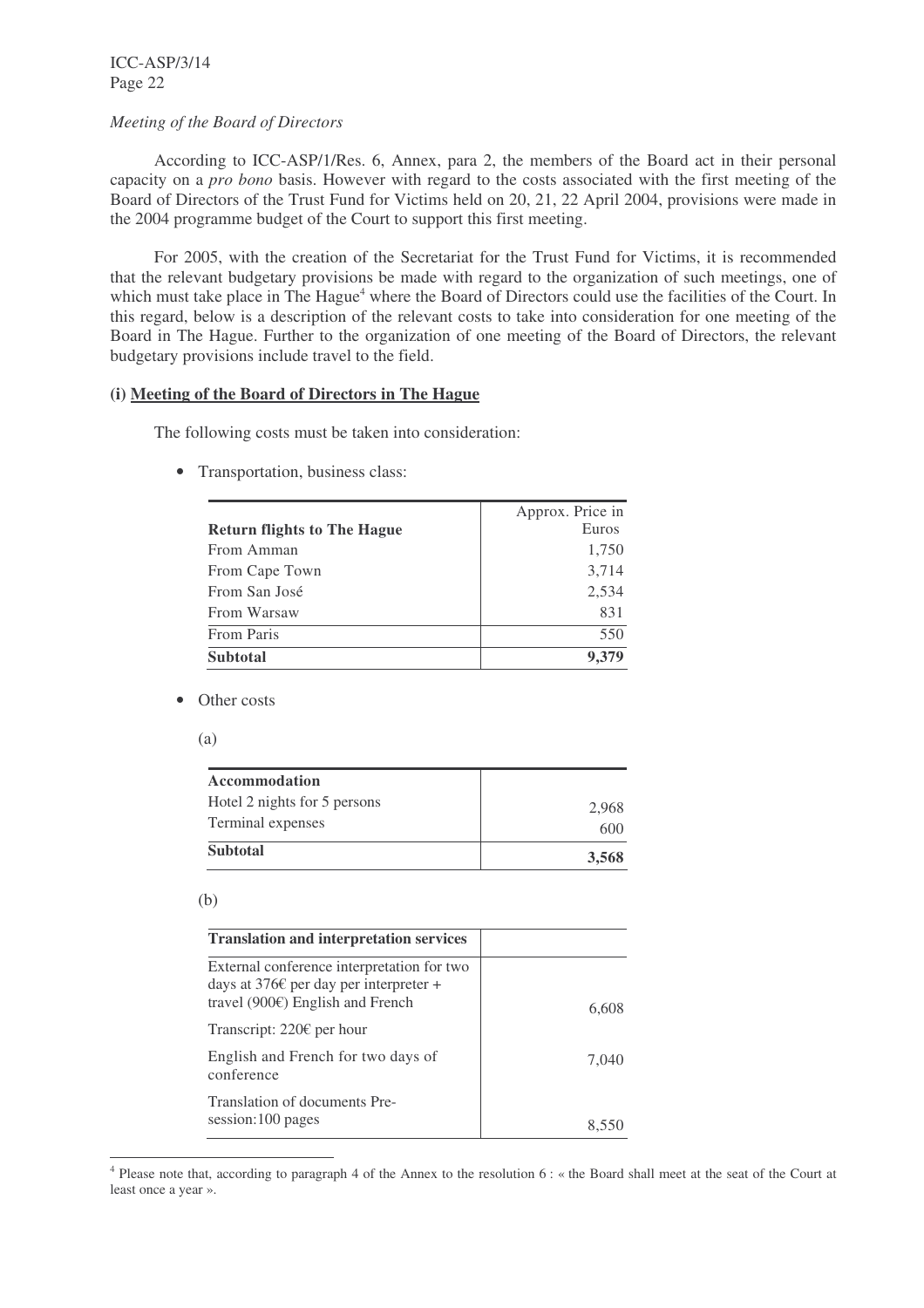ICC-ASP/3/14 Page 22

#### *Meeting of the Board of Directors*

According to ICC-ASP/1/Res. 6, Annex, para 2, the members of the Board act in their personal capacity on a *pro bono* basis. However with regard to the costs associated with the first meeting of the Board of Directors of the Trust Fund for Victims held on 20, 21, 22 April 2004, provisions were made in the 2004 programme budget of the Court to support this first meeting.

For 2005, with the creation of the Secretariat for the Trust Fund for Victims, it is recommended that the relevant budgetary provisions be made with regard to the organization of such meetings, one of which must take place in The Hague<sup>4</sup> where the Board of Directors could use the facilities of the Court. In this regard, below is a description of the relevant costs to take into consideration for one meeting of the Board in The Hague. Further to the organization of one meeting of the Board of Directors, the relevant budgetary provisions include travel to the field.

# **(i) Meeting of the Board of Directors in The Hague**

The following costs must be taken into consideration:

• Transportation, business class:

|                                    | Approx. Price in |
|------------------------------------|------------------|
| <b>Return flights to The Hague</b> | Euros            |
| From Amman                         | 1,750            |
| From Cape Town                     | 3,714            |
| From San José                      | 2,534            |
| From Warsaw                        | 831              |
| From Paris                         | 550              |
| <b>Subtotal</b>                    | 9,379            |

- Other costs
	- (a)

| <b>Accommodation</b>         |       |
|------------------------------|-------|
| Hotel 2 nights for 5 persons | 2.968 |
| Terminal expenses            | 600   |
| <b>Subtotal</b>              | 3,568 |

#### (b)

| <b>Translation and interpretation services</b>                                                                                                   |       |
|--------------------------------------------------------------------------------------------------------------------------------------------------|-------|
| External conference interpretation for two<br>days at 376 $\epsilon$ per day per interpreter +<br>travel (900 $\varepsilon$ ) English and French |       |
| Transcript: 220 $\epsilon$ per hour                                                                                                              |       |
| English and French for two days of<br>conference                                                                                                 | 7.040 |
| Translation of documents Pre-<br>session:100 pages                                                                                               |       |

<sup>&</sup>lt;sup>4</sup> Please note that, according to paragraph 4 of the Annex to the resolution 6 : « the Board shall meet at the seat of the Court at least once a year ».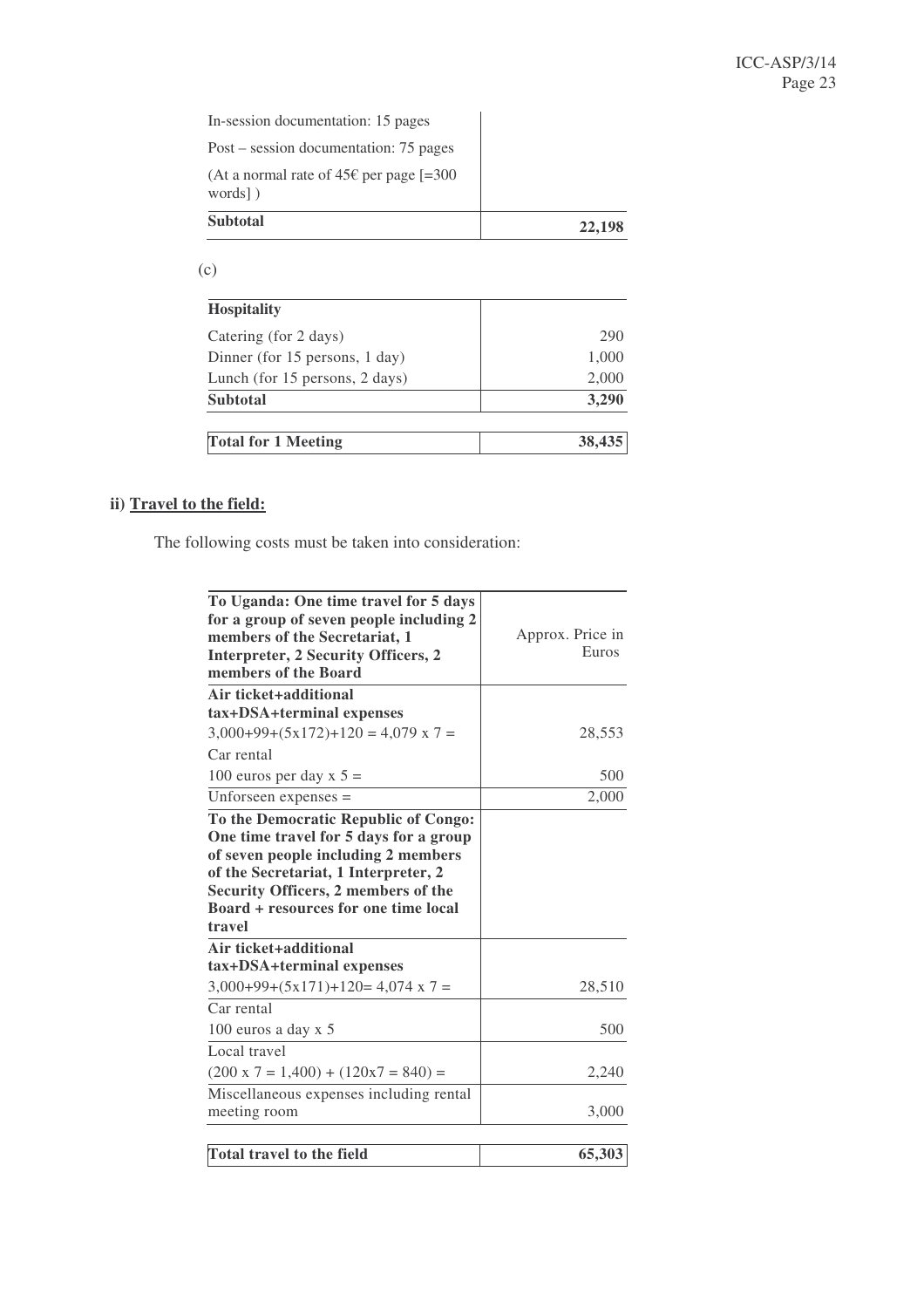In-session documentation: 15 pages

Post – session documentation: 75 pages (At a normal rate of  $45 \text{E}$  per page [=300]

| <b>Subtotal</b>                            | 22,198 |
|--------------------------------------------|--------|
| words )                                    |        |
| (At a normal rate of $45t$ per page $=500$ |        |

(c)

| <b>Hospitality</b>             |        |
|--------------------------------|--------|
| Catering (for 2 days)          | 290    |
| Dinner (for 15 persons, 1 day) | 1,000  |
| Lunch (for 15 persons, 2 days) | 2,000  |
| <b>Subtotal</b>                | 3,290  |
| <b>Total for 1 Meeting</b>     | 38,435 |

# **ii) Travel to the field:**

The following costs must be taken into consideration:

| To Uganda: One time travel for 5 days             |                  |
|---------------------------------------------------|------------------|
| for a group of seven people including 2           |                  |
| members of the Secretariat, 1                     | Approx. Price in |
| Interpreter, 2 Security Officers, 2               | Euros            |
| members of the Board                              |                  |
| Air ticket+additional                             |                  |
| tax+DSA+terminal expenses                         |                  |
| $3,000+99+(5x172)+120 = 4,079 \times 7 =$         | 28,553           |
| Car rental                                        |                  |
| 100 euros per day x $5 =$                         | 500              |
| Unforseen expenses $=$                            | 2,000            |
| To the Democratic Republic of Congo:              |                  |
| One time travel for 5 days for a group            |                  |
| of seven people including 2 members               |                  |
| of the Secretariat, 1 Interpreter, 2              |                  |
| Security Officers, 2 members of the               |                  |
| Board + resources for one time local              |                  |
| travel                                            |                  |
| Air ticket+additional                             |                  |
| tax+DSA+terminal expenses                         |                  |
| $3,000+99+(5x171)+120=4,074 \times 7=$            | 28,510           |
| Car rental                                        |                  |
| 100 euros a day $x$ 5                             | 500              |
| Local travel                                      |                  |
| $(200 \times 7 = 1,400) + (120 \times 7 = 840) =$ | 2,240            |
| Miscellaneous expenses including rental           |                  |
| meeting room                                      | 3,000            |
|                                                   |                  |
| <b>Total travel to the field</b>                  | 65,303           |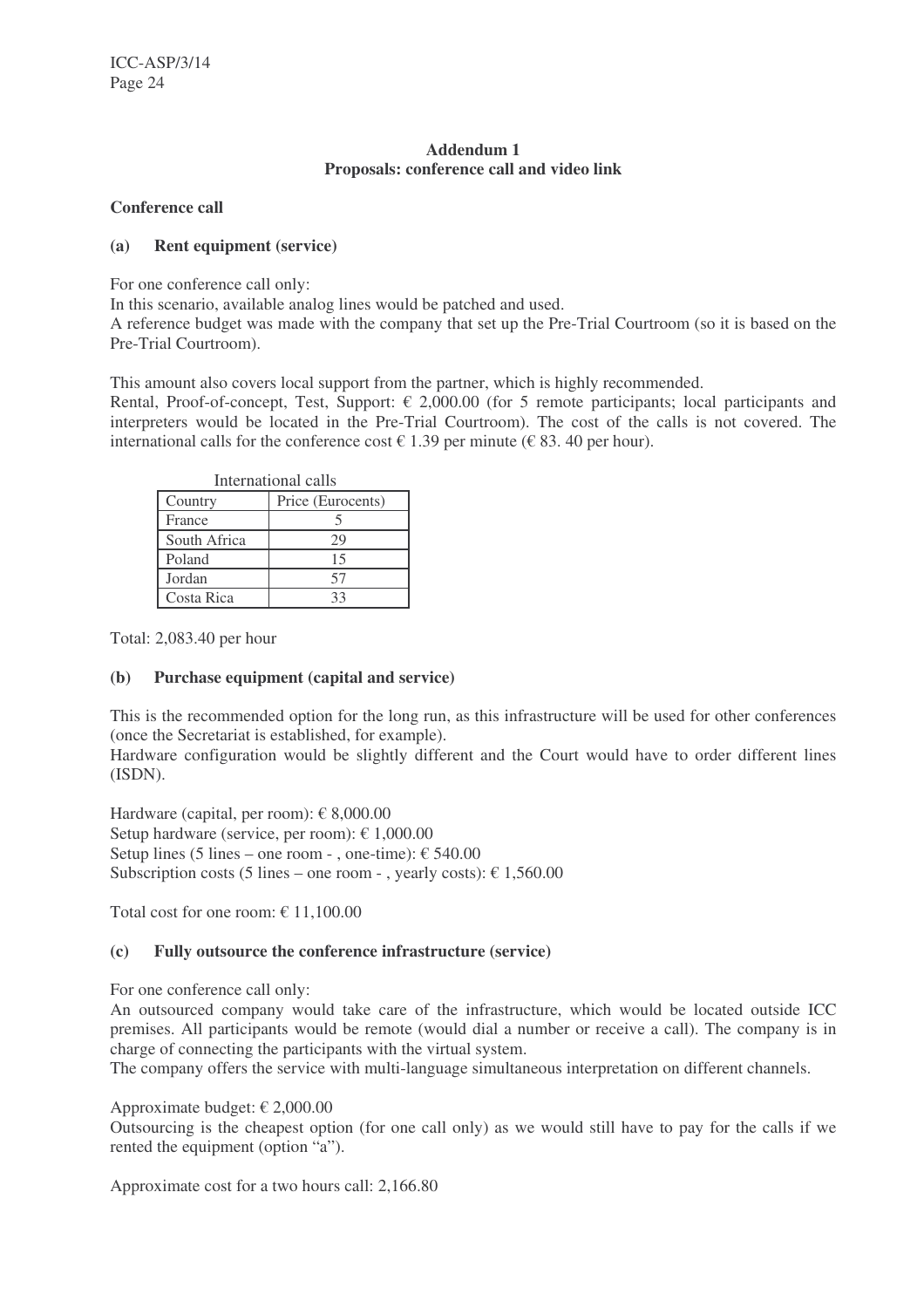# **Addendum 1 Proposals: conference call and video link**

# **Conference call**

# **(a) Rent equipment (service)**

For one conference call only:

In this scenario, available analog lines would be patched and used.

A reference budget was made with the company that set up the Pre-Trial Courtroom (so it is based on the Pre-Trial Courtroom).

This amount also covers local support from the partner, which is highly recommended.

Rental, Proof-of-concept, Test, Support:  $\epsilon$  2,000.00 (for 5 remote participants; local participants and interpreters would be located in the Pre-Trial Courtroom). The cost of the calls is not covered. The international calls for the conference cost  $\in$  1.39 per minute ( $\in$  83.40 per hour).

| International calls |                   |
|---------------------|-------------------|
| Country             | Price (Eurocents) |
| France              |                   |
| South Africa        | 29                |
| Poland              | 15                |
| Jordan              | 57                |
| Costa Rica          |                   |

Total: 2,083.40 per hour

# **(b) Purchase equipment (capital and service)**

This is the recommended option for the long run, as this infrastructure will be used for other conferences (once the Secretariat is established, for example).

Hardware configuration would be slightly different and the Court would have to order different lines (ISDN).

Hardware (capital, per room):  $\epsilon$  8,000.00 Setup hardware (service, per room):  $\epsilon$  1,000.00 Setup lines (5 lines – one room - , one-time):  $\epsilon$  540.00 Subscription costs (5 lines – one room - , yearly costs):  $\epsilon$  1,560.00

Total cost for one room:  $\epsilon$  11,100.00

# **(c) Fully outsource the conference infrastructure (service)**

For one conference call only:

An outsourced company would take care of the infrastructure, which would be located outside ICC premises. All participants would be remote (would dial a number or receive a call). The company is in charge of connecting the participants with the virtual system.

The company offers the service with multi-language simultaneous interpretation on different channels.

Approximate budget: € 2,000.00

Outsourcing is the cheapest option (for one call only) as we would still have to pay for the calls if we rented the equipment (option "a").

Approximate cost for a two hours call: 2,166.80